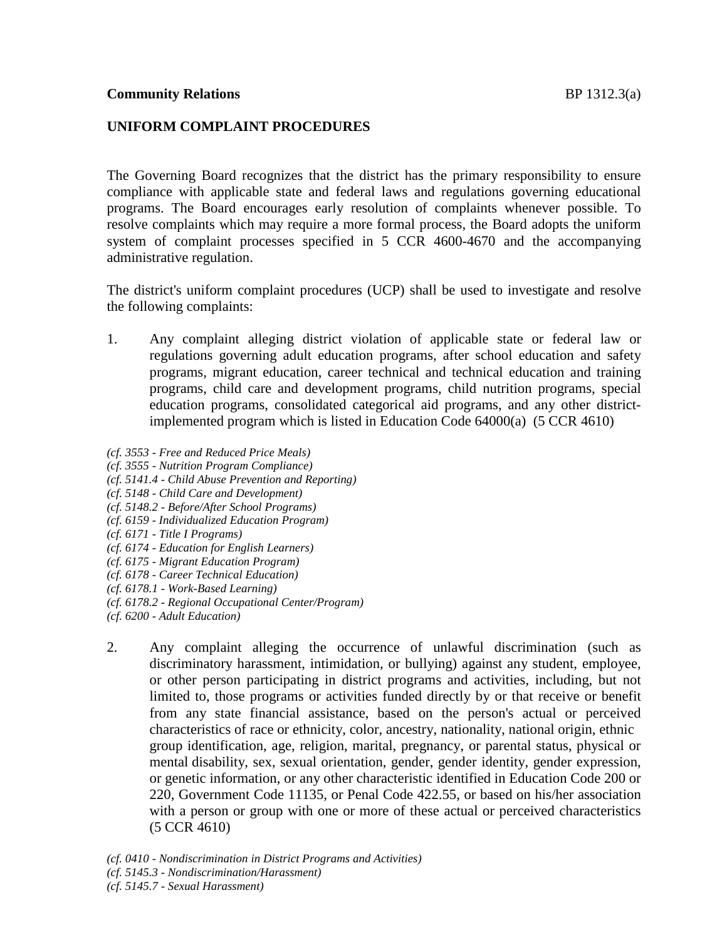The Governing Board recognizes that the district has the primary responsibility to ensure compliance with applicable state and federal laws and regulations governing educational programs. The Board encourages early resolution of complaints whenever possible. To resolve complaints which may require a more formal process, the Board adopts the uniform system of complaint processes specified in 5 CCR 4600-4670 and the accompanying administrative regulation.

The district's uniform complaint procedures (UCP) shall be used to investigate and resolve the following complaints:

- 1. Any complaint alleging district violation of applicable state or federal law or regulations governing adult education programs, after school education and safety programs, migrant education, career technical and technical education and training programs, child care and development programs, child nutrition programs, special education programs, consolidated categorical aid programs, and any other districtimplemented program which is listed in Education Code 64000(a) (5 CCR 4610)
- *(cf. 3553 - Free and Reduced Price Meals)*
- *(cf. 3555 - Nutrition Program Compliance)*
- *(cf. 5141.4 - Child Abuse Prevention and Reporting)*
- *(cf. 5148 - Child Care and Development)*
- *(cf. 5148.2 - Before/After School Programs)*
- *(cf. 6159 - Individualized Education Program)*
- *(cf. 6171 - Title I Programs)*
- *(cf. 6174 - Education for English Learners)*
- *(cf. 6175 - Migrant Education Program)*
- *(cf. 6178 - Career Technical Education)*
- *(cf. 6178.1 - Work-Based Learning)*
- *(cf. 6178.2 - Regional Occupational Center/Program)*
- *(cf. 6200 - Adult Education)*
- 2. Any complaint alleging the occurrence of unlawful discrimination (such as discriminatory harassment, intimidation, or bullying) against any student, employee, or other person participating in district programs and activities, including, but not limited to, those programs or activities funded directly by or that receive or benefit from any state financial assistance, based on the person's actual or perceived characteristics of race or ethnicity, color, ancestry, nationality, national origin, ethnic group identification, age, religion, marital, pregnancy, or parental status, physical or mental disability, sex, sexual orientation, gender, gender identity, gender expression, or genetic information, or any other characteristic identified in Education Code 200 or 220, Government Code 11135, or Penal Code 422.55, or based on his/her association with a person or group with one or more of these actual or perceived characteristics (5 CCR 4610)

*(cf. 0410 - Nondiscrimination in District Programs and Activities)*

- *(cf. 5145.3 - Nondiscrimination/Harassment)*
- *(cf. 5145.7 - Sexual Harassment)*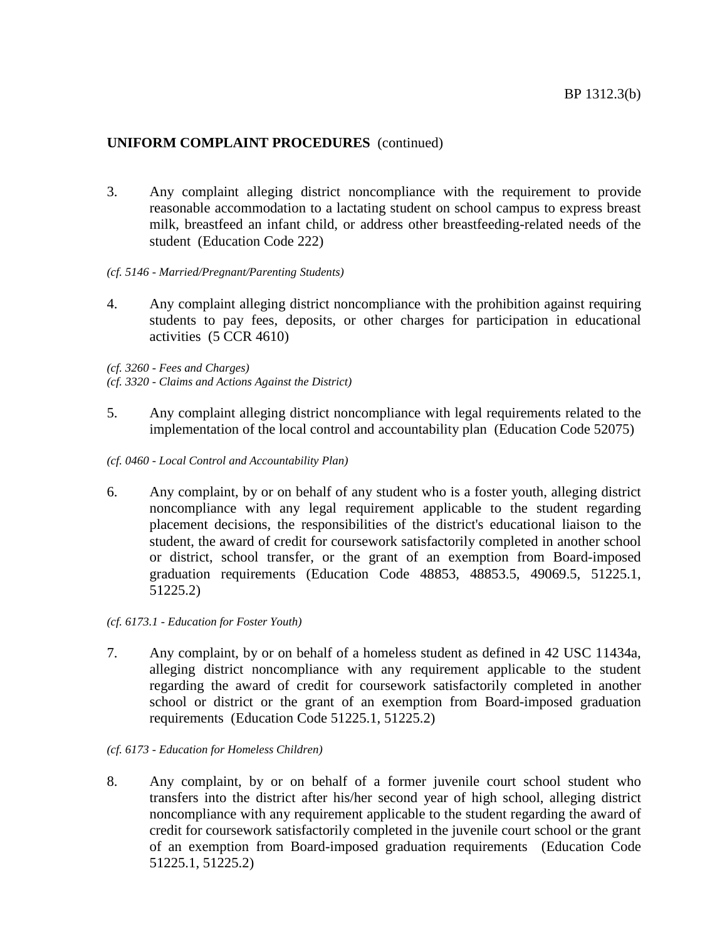- 3. Any complaint alleging district noncompliance with the requirement to provide reasonable accommodation to a lactating student on school campus to express breast milk, breastfeed an infant child, or address other breastfeeding-related needs of the student (Education Code 222)
- *(cf. 5146 - Married/Pregnant/Parenting Students)*
- 4. Any complaint alleging district noncompliance with the prohibition against requiring students to pay fees, deposits, or other charges for participation in educational activities (5 CCR 4610)

*(cf. 3260 - Fees and Charges)*

- *(cf. 3320 - Claims and Actions Against the District)*
- 5. Any complaint alleging district noncompliance with legal requirements related to the implementation of the local control and accountability plan (Education Code 52075)
- *(cf. 0460 - Local Control and Accountability Plan)*
- 6. Any complaint, by or on behalf of any student who is a foster youth, alleging district noncompliance with any legal requirement applicable to the student regarding placement decisions, the responsibilities of the district's educational liaison to the student, the award of credit for coursework satisfactorily completed in another school or district, school transfer, or the grant of an exemption from Board-imposed graduation requirements (Education Code 48853, 48853.5, 49069.5, 51225.1, 51225.2)
- *(cf. 6173.1 - Education for Foster Youth)*
- 7. Any complaint, by or on behalf of a homeless student as defined in 42 USC 11434a, alleging district noncompliance with any requirement applicable to the student regarding the award of credit for coursework satisfactorily completed in another school or district or the grant of an exemption from Board-imposed graduation requirements (Education Code 51225.1, 51225.2)
- *(cf. 6173 - Education for Homeless Children)*
- 8. Any complaint, by or on behalf of a former juvenile court school student who transfers into the district after his/her second year of high school, alleging district noncompliance with any requirement applicable to the student regarding the award of credit for coursework satisfactorily completed in the juvenile court school or the grant of an exemption from Board-imposed graduation requirements (Education Code 51225.1, 51225.2)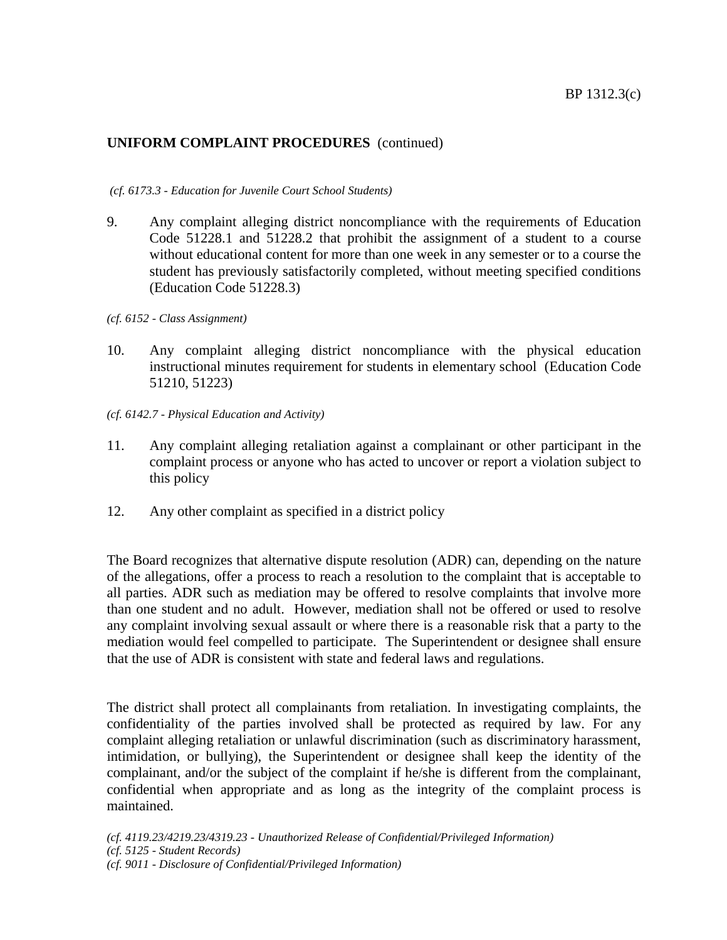#### *(cf. 6173.3 - Education for Juvenile Court School Students)*

- 9. Any complaint alleging district noncompliance with the requirements of Education Code 51228.1 and 51228.2 that prohibit the assignment of a student to a course without educational content for more than one week in any semester or to a course the student has previously satisfactorily completed, without meeting specified conditions (Education Code 51228.3)
- *(cf. 6152 - Class Assignment)*
- 10. Any complaint alleging district noncompliance with the physical education instructional minutes requirement for students in elementary school (Education Code 51210, 51223)
- *(cf. 6142.7 - Physical Education and Activity)*
- 11. Any complaint alleging retaliation against a complainant or other participant in the complaint process or anyone who has acted to uncover or report a violation subject to this policy
- 12. Any other complaint as specified in a district policy

The Board recognizes that alternative dispute resolution (ADR) can, depending on the nature of the allegations, offer a process to reach a resolution to the complaint that is acceptable to all parties. ADR such as mediation may be offered to resolve complaints that involve more than one student and no adult. However, mediation shall not be offered or used to resolve any complaint involving sexual assault or where there is a reasonable risk that a party to the mediation would feel compelled to participate. The Superintendent or designee shall ensure that the use of ADR is consistent with state and federal laws and regulations.

The district shall protect all complainants from retaliation. In investigating complaints, the confidentiality of the parties involved shall be protected as required by law. For any complaint alleging retaliation or unlawful discrimination (such as discriminatory harassment, intimidation, or bullying), the Superintendent or designee shall keep the identity of the complainant, and/or the subject of the complaint if he/she is different from the complainant, confidential when appropriate and as long as the integrity of the complaint process is maintained.

*(cf. 4119.23/4219.23/4319.23 - Unauthorized Release of Confidential/Privileged Information) (cf. 5125 - Student Records) (cf. 9011 - Disclosure of Confidential/Privileged Information)*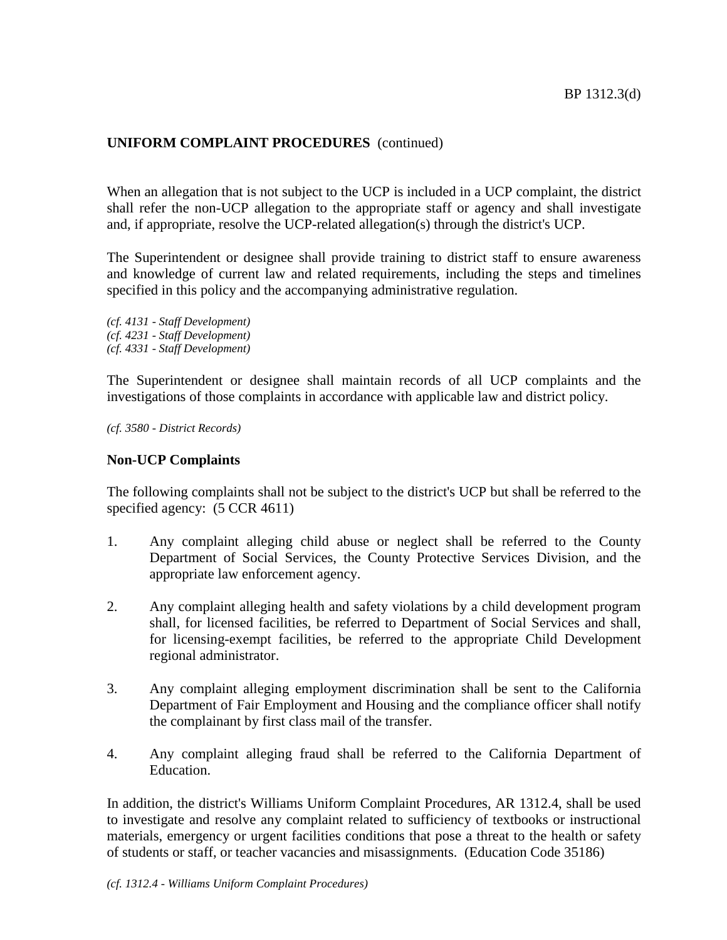When an allegation that is not subject to the UCP is included in a UCP complaint, the district shall refer the non-UCP allegation to the appropriate staff or agency and shall investigate and, if appropriate, resolve the UCP-related allegation(s) through the district's UCP.

The Superintendent or designee shall provide training to district staff to ensure awareness and knowledge of current law and related requirements, including the steps and timelines specified in this policy and the accompanying administrative regulation.

*(cf. 4131 - Staff Development) (cf. 4231 - Staff Development) (cf. 4331 - Staff Development)*

The Superintendent or designee shall maintain records of all UCP complaints and the investigations of those complaints in accordance with applicable law and district policy.

*(cf. 3580 - District Records)*

# **Non-UCP Complaints**

The following complaints shall not be subject to the district's UCP but shall be referred to the specified agency:  $(5$  CCR 4611)

- 1. Any complaint alleging child abuse or neglect shall be referred to the County Department of Social Services, the County Protective Services Division, and the appropriate law enforcement agency.
- 2. Any complaint alleging health and safety violations by a child development program shall, for licensed facilities, be referred to Department of Social Services and shall, for licensing-exempt facilities, be referred to the appropriate Child Development regional administrator.
- 3. Any complaint alleging employment discrimination shall be sent to the California Department of Fair Employment and Housing and the compliance officer shall notify the complainant by first class mail of the transfer.
- 4. Any complaint alleging fraud shall be referred to the California Department of Education.

In addition, the district's Williams Uniform Complaint Procedures, AR 1312.4, shall be used to investigate and resolve any complaint related to sufficiency of textbooks or instructional materials, emergency or urgent facilities conditions that pose a threat to the health or safety of students or staff, or teacher vacancies and misassignments. (Education Code 35186)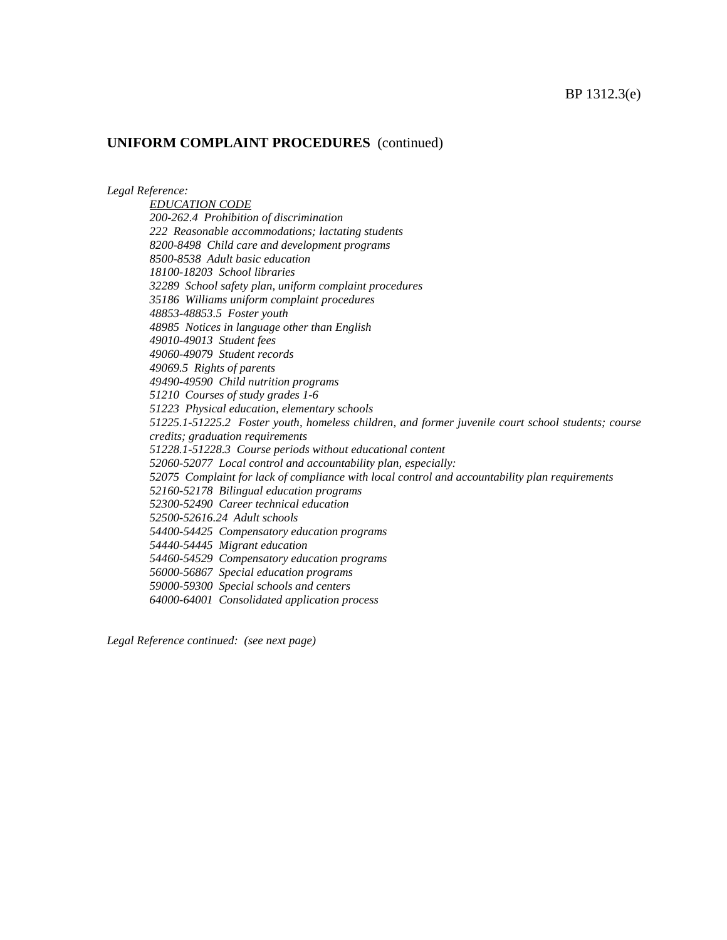*Legal Reference:*

*EDUCATION CODE 200-262.4 Prohibition of discrimination 222 Reasonable accommodations; lactating students 8200-8498 Child care and development programs 8500-8538 Adult basic education 18100-18203 School libraries 32289 School safety plan, uniform complaint procedures 35186 Williams uniform complaint procedures 48853-48853.5 Foster youth 48985 Notices in language other than English 49010-49013 Student fees 49060-49079 Student records 49069.5 Rights of parents 49490-49590 Child nutrition programs 51210 Courses of study grades 1-6 51223 Physical education, elementary schools 51225.1-51225.2 Foster youth, homeless children, and former juvenile court school students; course credits; graduation requirements 51228.1-51228.3 Course periods without educational content 52060-52077 Local control and accountability plan, especially: 52075 Complaint for lack of compliance with local control and accountability plan requirements 52160-52178 Bilingual education programs 52300-52490 Career technical education 52500-52616.24 Adult schools 54400-54425 Compensatory education programs 54440-54445 Migrant education 54460-54529 Compensatory education programs 56000-56867 Special education programs 59000-59300 Special schools and centers 64000-64001 Consolidated application process*

*Legal Reference continued: (see next page)*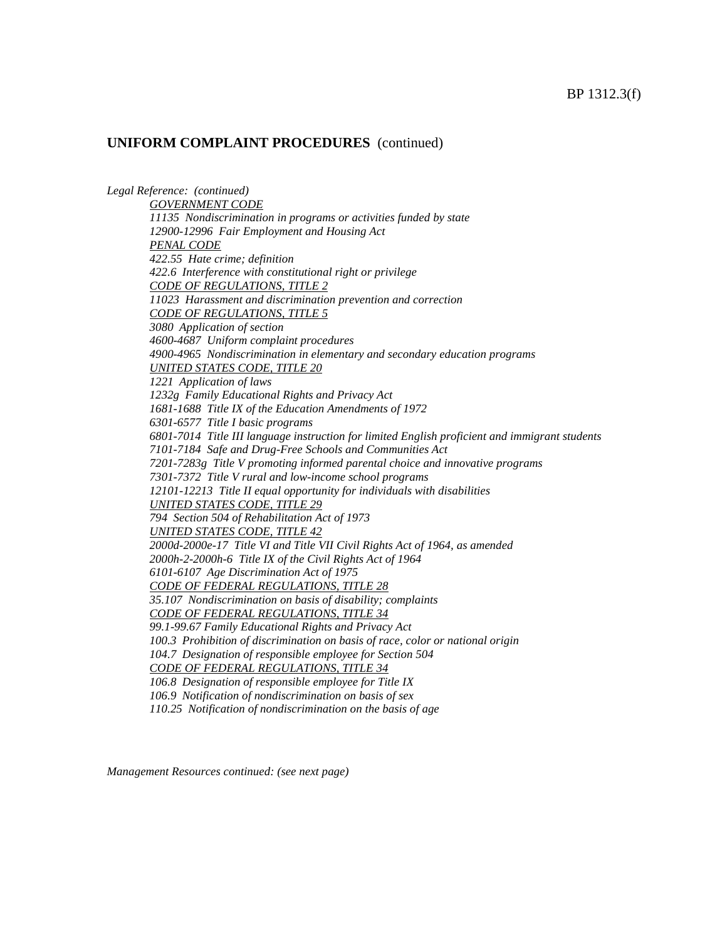*Legal Reference: (continued) GOVERNMENT CODE 11135 Nondiscrimination in programs or activities funded by state 12900-12996 Fair Employment and Housing Act PENAL CODE 422.55 Hate crime; definition 422.6 Interference with constitutional right or privilege CODE OF REGULATIONS, TITLE 2 11023 Harassment and discrimination prevention and correction CODE OF REGULATIONS, TITLE 5 3080 Application of section 4600-4687 Uniform complaint procedures 4900-4965 Nondiscrimination in elementary and secondary education programs UNITED STATES CODE, TITLE 20 1221 Application of laws 1232g Family Educational Rights and Privacy Act 1681-1688 Title IX of the Education Amendments of 1972 6301-6577 Title I basic programs 6801-7014 Title III language instruction for limited English proficient and immigrant students 7101-7184 Safe and Drug-Free Schools and Communities Act 7201-7283g Title V promoting informed parental choice and innovative programs 7301-7372 Title V rural and low-income school programs 12101-12213 Title II equal opportunity for individuals with disabilities UNITED STATES CODE, TITLE 29 794 Section 504 of Rehabilitation Act of 1973 UNITED STATES CODE, TITLE 42 2000d-2000e-17 Title VI and Title VII Civil Rights Act of 1964, as amended 2000h-2-2000h-6 Title IX of the Civil Rights Act of 1964 6101-6107 Age Discrimination Act of 1975 CODE OF FEDERAL REGULATIONS, TITLE 28 35.107 Nondiscrimination on basis of disability; complaints CODE OF FEDERAL REGULATIONS, TITLE 34 99.1-99.67 Family Educational Rights and Privacy Act 100.3 Prohibition of discrimination on basis of race, color or national origin 104.7 Designation of responsible employee for Section 504 CODE OF FEDERAL REGULATIONS, TITLE 34 106.8 Designation of responsible employee for Title IX 106.9 Notification of nondiscrimination on basis of sex 110.25 Notification of nondiscrimination on the basis of age*

*Management Resources continued: (see next page)*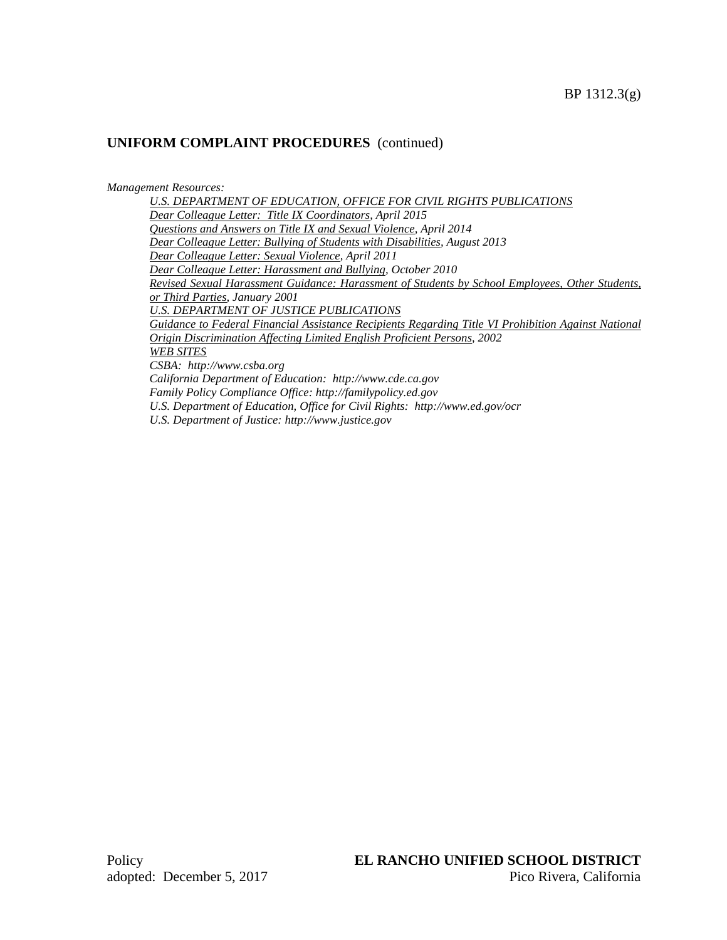#### *Management Resources:*

*U.S. DEPARTMENT OF EDUCATION, OFFICE FOR CIVIL RIGHTS PUBLICATIONS Dear Colleague Letter: Title IX Coordinators, April 2015 Questions and Answers on Title IX and Sexual Violence, April 2014 Dear Colleague Letter: Bullying of Students with Disabilities, August 2013 Dear Colleague Letter: Sexual Violence, April 2011 Dear Colleague Letter: Harassment and Bullying, October 2010 Revised Sexual Harassment Guidance: Harassment of Students by School Employees, Other Students, or Third Parties, January 2001 U.S. DEPARTMENT OF JUSTICE PUBLICATIONS Guidance to Federal Financial Assistance Recipients Regarding Title VI Prohibition Against National Origin Discrimination Affecting Limited English Proficient Persons, 2002 WEB SITES CSBA: http://www.csba.org California Department of Education: http://www.cde.ca.gov Family Policy Compliance Office: http://familypolicy.ed.gov U.S. Department of Education, Office for Civil Rights: http://www.ed.gov/ocr U.S. Department of Justice: http://www.justice.gov*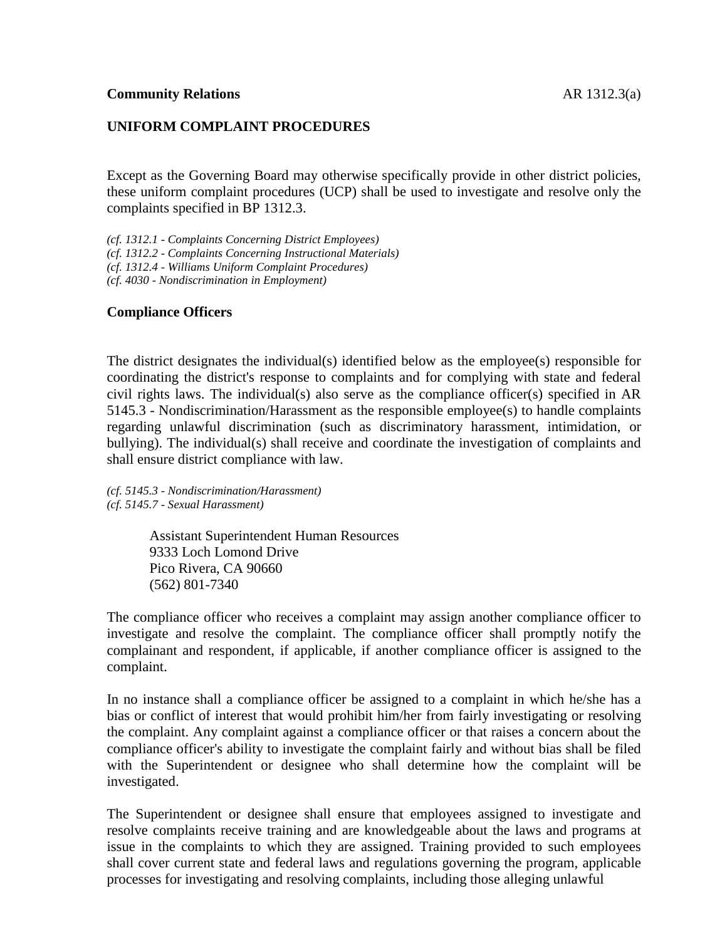#### **UNIFORM COMPLAINT PROCEDURES**

Except as the Governing Board may otherwise specifically provide in other district policies, these uniform complaint procedures (UCP) shall be used to investigate and resolve only the complaints specified in BP 1312.3.

*(cf. 1312.1 - Complaints Concerning District Employees) (cf. 1312.2 - Complaints Concerning Instructional Materials) (cf. 1312.4 - Williams Uniform Complaint Procedures) (cf. 4030 - Nondiscrimination in Employment)*

#### **Compliance Officers**

The district designates the individual(s) identified below as the employee(s) responsible for coordinating the district's response to complaints and for complying with state and federal civil rights laws. The individual(s) also serve as the compliance officer(s) specified in AR 5145.3 - Nondiscrimination/Harassment as the responsible employee(s) to handle complaints regarding unlawful discrimination (such as discriminatory harassment, intimidation, or bullying). The individual(s) shall receive and coordinate the investigation of complaints and shall ensure district compliance with law.

*(cf. 5145.3 - Nondiscrimination/Harassment) (cf. 5145.7 - Sexual Harassment)*

> Assistant Superintendent Human Resources 9333 Loch Lomond Drive Pico Rivera, CA 90660 (562) 801-7340

The compliance officer who receives a complaint may assign another compliance officer to investigate and resolve the complaint. The compliance officer shall promptly notify the complainant and respondent, if applicable, if another compliance officer is assigned to the complaint.

In no instance shall a compliance officer be assigned to a complaint in which he/she has a bias or conflict of interest that would prohibit him/her from fairly investigating or resolving the complaint. Any complaint against a compliance officer or that raises a concern about the compliance officer's ability to investigate the complaint fairly and without bias shall be filed with the Superintendent or designee who shall determine how the complaint will be investigated.

The Superintendent or designee shall ensure that employees assigned to investigate and resolve complaints receive training and are knowledgeable about the laws and programs at issue in the complaints to which they are assigned. Training provided to such employees shall cover current state and federal laws and regulations governing the program, applicable processes for investigating and resolving complaints, including those alleging unlawful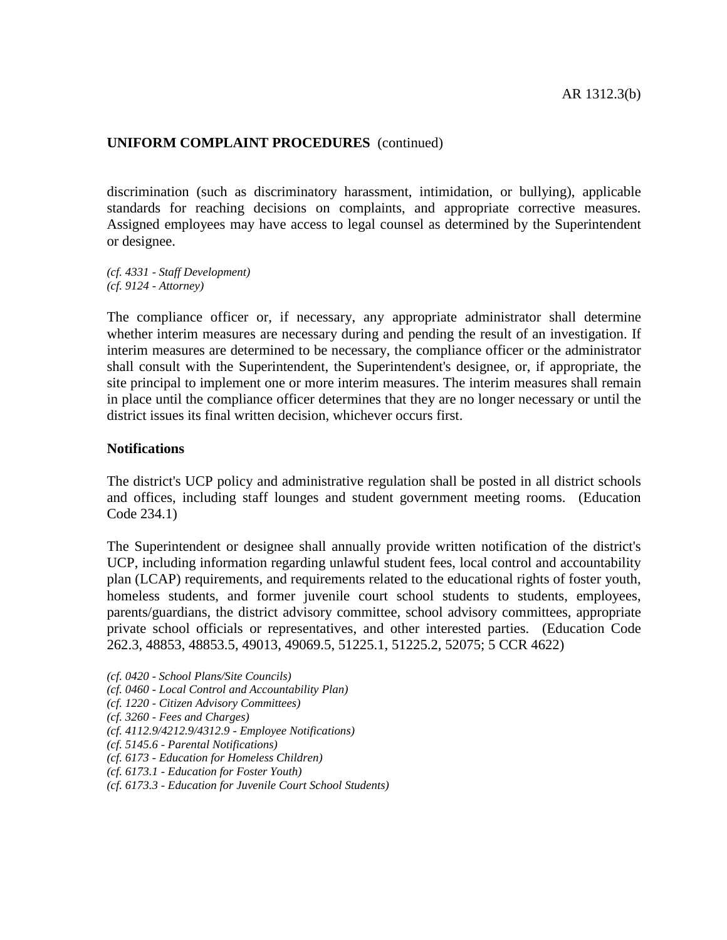discrimination (such as discriminatory harassment, intimidation, or bullying), applicable standards for reaching decisions on complaints, and appropriate corrective measures. Assigned employees may have access to legal counsel as determined by the Superintendent or designee.

*(cf. 4331 - Staff Development) (cf. 9124 - Attorney)*

The compliance officer or, if necessary, any appropriate administrator shall determine whether interim measures are necessary during and pending the result of an investigation. If interim measures are determined to be necessary, the compliance officer or the administrator shall consult with the Superintendent, the Superintendent's designee, or, if appropriate, the site principal to implement one or more interim measures. The interim measures shall remain in place until the compliance officer determines that they are no longer necessary or until the district issues its final written decision, whichever occurs first.

#### **Notifications**

The district's UCP policy and administrative regulation shall be posted in all district schools and offices, including staff lounges and student government meeting rooms. (Education Code 234.1)

The Superintendent or designee shall annually provide written notification of the district's UCP, including information regarding unlawful student fees, local control and accountability plan (LCAP) requirements, and requirements related to the educational rights of foster youth, homeless students, and former juvenile court school students to students, employees, parents/guardians, the district advisory committee, school advisory committees, appropriate private school officials or representatives, and other interested parties. (Education Code 262.3, 48853, 48853.5, 49013, 49069.5, 51225.1, 51225.2, 52075; 5 CCR 4622)

- *(cf. 0420 - School Plans/Site Councils)*
- *(cf. 0460 - Local Control and Accountability Plan)*
- *(cf. 1220 - Citizen Advisory Committees)*
- *(cf. 3260 - Fees and Charges)*
- *(cf. 4112.9/4212.9/4312.9 - Employee Notifications)*
- *(cf. 5145.6 - Parental Notifications)*
- *(cf. 6173 - Education for Homeless Children)*
- *(cf. 6173.1 - Education for Foster Youth)*
- *(cf. 6173.3 - Education for Juvenile Court School Students)*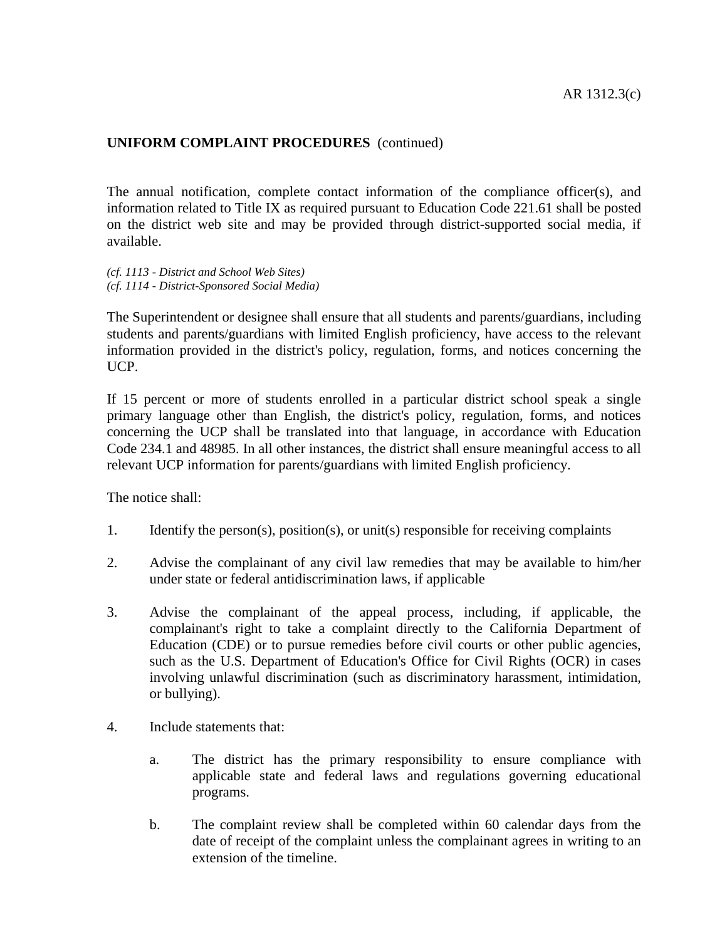The annual notification, complete contact information of the compliance officer(s), and information related to Title IX as required pursuant to Education Code 221.61 shall be posted on the district web site and may be provided through district-supported social media, if available.

*(cf. 1113 - District and School Web Sites) (cf. 1114 - District-Sponsored Social Media)*

The Superintendent or designee shall ensure that all students and parents/guardians, including students and parents/guardians with limited English proficiency, have access to the relevant information provided in the district's policy, regulation, forms, and notices concerning the UCP.

If 15 percent or more of students enrolled in a particular district school speak a single primary language other than English, the district's policy, regulation, forms, and notices concerning the UCP shall be translated into that language, in accordance with Education Code 234.1 and 48985. In all other instances, the district shall ensure meaningful access to all relevant UCP information for parents/guardians with limited English proficiency.

The notice shall:

- 1. Identify the person(s), position(s), or unit(s) responsible for receiving complaints
- 2. Advise the complainant of any civil law remedies that may be available to him/her under state or federal antidiscrimination laws, if applicable
- 3. Advise the complainant of the appeal process, including, if applicable, the complainant's right to take a complaint directly to the California Department of Education (CDE) or to pursue remedies before civil courts or other public agencies, such as the U.S. Department of Education's Office for Civil Rights (OCR) in cases involving unlawful discrimination (such as discriminatory harassment, intimidation, or bullying).
- 4. Include statements that:
	- a. The district has the primary responsibility to ensure compliance with applicable state and federal laws and regulations governing educational programs.
	- b. The complaint review shall be completed within 60 calendar days from the date of receipt of the complaint unless the complainant agrees in writing to an extension of the timeline.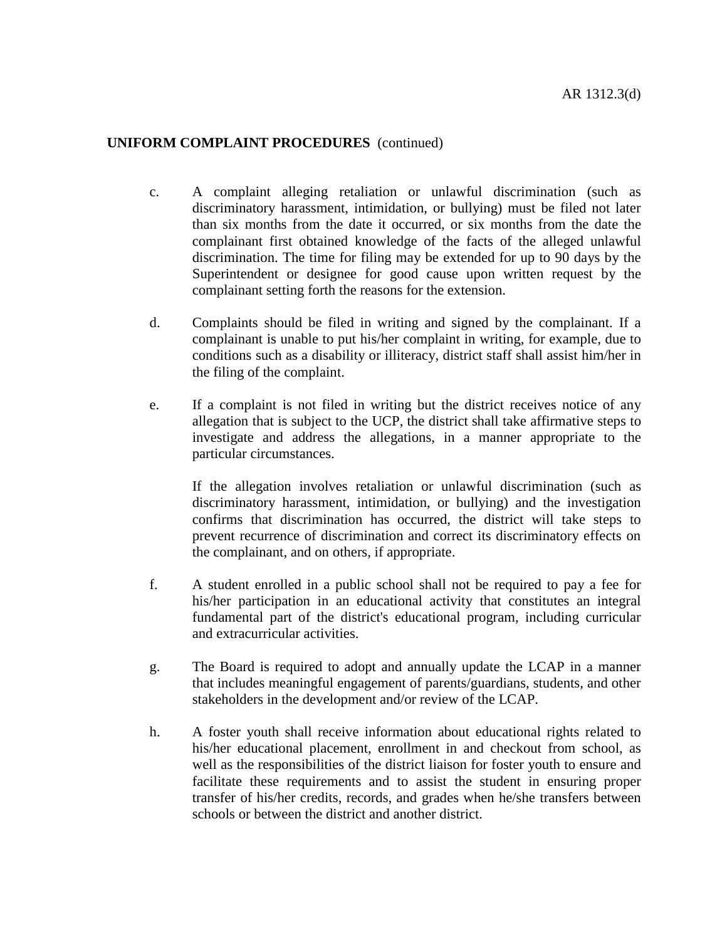- c. A complaint alleging retaliation or unlawful discrimination (such as discriminatory harassment, intimidation, or bullying) must be filed not later than six months from the date it occurred, or six months from the date the complainant first obtained knowledge of the facts of the alleged unlawful discrimination. The time for filing may be extended for up to 90 days by the Superintendent or designee for good cause upon written request by the complainant setting forth the reasons for the extension.
- d. Complaints should be filed in writing and signed by the complainant. If a complainant is unable to put his/her complaint in writing, for example, due to conditions such as a disability or illiteracy, district staff shall assist him/her in the filing of the complaint.
- e. If a complaint is not filed in writing but the district receives notice of any allegation that is subject to the UCP, the district shall take affirmative steps to investigate and address the allegations, in a manner appropriate to the particular circumstances.

If the allegation involves retaliation or unlawful discrimination (such as discriminatory harassment, intimidation, or bullying) and the investigation confirms that discrimination has occurred, the district will take steps to prevent recurrence of discrimination and correct its discriminatory effects on the complainant, and on others, if appropriate.

- f. A student enrolled in a public school shall not be required to pay a fee for his/her participation in an educational activity that constitutes an integral fundamental part of the district's educational program, including curricular and extracurricular activities.
- g. The Board is required to adopt and annually update the LCAP in a manner that includes meaningful engagement of parents/guardians, students, and other stakeholders in the development and/or review of the LCAP.
- h. A foster youth shall receive information about educational rights related to his/her educational placement, enrollment in and checkout from school, as well as the responsibilities of the district liaison for foster youth to ensure and facilitate these requirements and to assist the student in ensuring proper transfer of his/her credits, records, and grades when he/she transfers between schools or between the district and another district.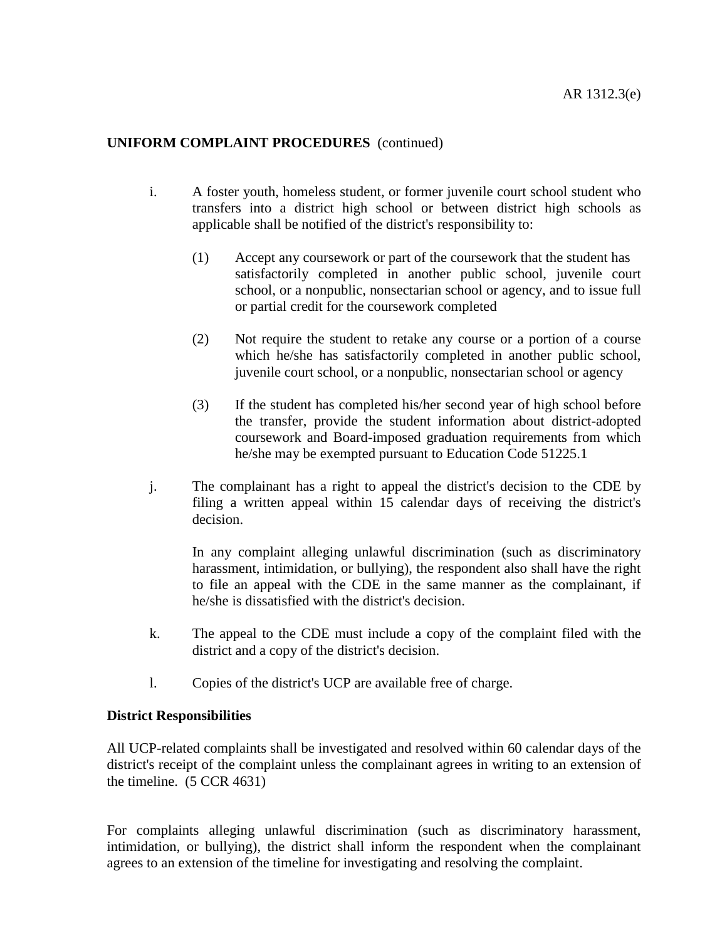- i. A foster youth, homeless student, or former juvenile court school student who transfers into a district high school or between district high schools as applicable shall be notified of the district's responsibility to:
	- (1) Accept any coursework or part of the coursework that the student has satisfactorily completed in another public school, juvenile court school, or a nonpublic, nonsectarian school or agency, and to issue full or partial credit for the coursework completed
	- (2) Not require the student to retake any course or a portion of a course which he/she has satisfactorily completed in another public school, juvenile court school, or a nonpublic, nonsectarian school or agency
	- (3) If the student has completed his/her second year of high school before the transfer, provide the student information about district-adopted coursework and Board-imposed graduation requirements from which he/she may be exempted pursuant to Education Code 51225.1
- j. The complainant has a right to appeal the district's decision to the CDE by filing a written appeal within 15 calendar days of receiving the district's decision.

In any complaint alleging unlawful discrimination (such as discriminatory harassment, intimidation, or bullying), the respondent also shall have the right to file an appeal with the CDE in the same manner as the complainant, if he/she is dissatisfied with the district's decision.

- k. The appeal to the CDE must include a copy of the complaint filed with the district and a copy of the district's decision.
- l. Copies of the district's UCP are available free of charge.

#### **District Responsibilities**

All UCP-related complaints shall be investigated and resolved within 60 calendar days of the district's receipt of the complaint unless the complainant agrees in writing to an extension of the timeline. (5 CCR 4631)

For complaints alleging unlawful discrimination (such as discriminatory harassment, intimidation, or bullying), the district shall inform the respondent when the complainant agrees to an extension of the timeline for investigating and resolving the complaint.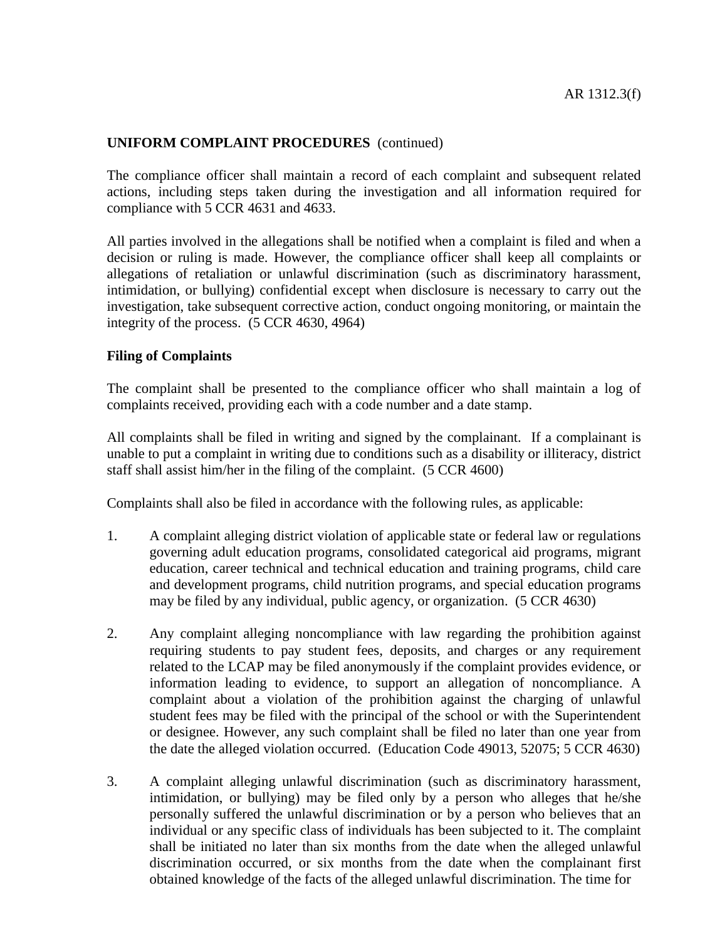The compliance officer shall maintain a record of each complaint and subsequent related actions, including steps taken during the investigation and all information required for compliance with 5 CCR 4631 and 4633.

All parties involved in the allegations shall be notified when a complaint is filed and when a decision or ruling is made. However, the compliance officer shall keep all complaints or allegations of retaliation or unlawful discrimination (such as discriminatory harassment, intimidation, or bullying) confidential except when disclosure is necessary to carry out the investigation, take subsequent corrective action, conduct ongoing monitoring, or maintain the integrity of the process. (5 CCR 4630, 4964)

#### **Filing of Complaints**

The complaint shall be presented to the compliance officer who shall maintain a log of complaints received, providing each with a code number and a date stamp.

All complaints shall be filed in writing and signed by the complainant. If a complainant is unable to put a complaint in writing due to conditions such as a disability or illiteracy, district staff shall assist him/her in the filing of the complaint. (5 CCR 4600)

Complaints shall also be filed in accordance with the following rules, as applicable:

- 1. A complaint alleging district violation of applicable state or federal law or regulations governing adult education programs, consolidated categorical aid programs, migrant education, career technical and technical education and training programs, child care and development programs, child nutrition programs, and special education programs may be filed by any individual, public agency, or organization. (5 CCR 4630)
- 2. Any complaint alleging noncompliance with law regarding the prohibition against requiring students to pay student fees, deposits, and charges or any requirement related to the LCAP may be filed anonymously if the complaint provides evidence, or information leading to evidence, to support an allegation of noncompliance. A complaint about a violation of the prohibition against the charging of unlawful student fees may be filed with the principal of the school or with the Superintendent or designee. However, any such complaint shall be filed no later than one year from the date the alleged violation occurred. (Education Code 49013, 52075; 5 CCR 4630)
- 3. A complaint alleging unlawful discrimination (such as discriminatory harassment, intimidation, or bullying) may be filed only by a person who alleges that he/she personally suffered the unlawful discrimination or by a person who believes that an individual or any specific class of individuals has been subjected to it. The complaint shall be initiated no later than six months from the date when the alleged unlawful discrimination occurred, or six months from the date when the complainant first obtained knowledge of the facts of the alleged unlawful discrimination. The time for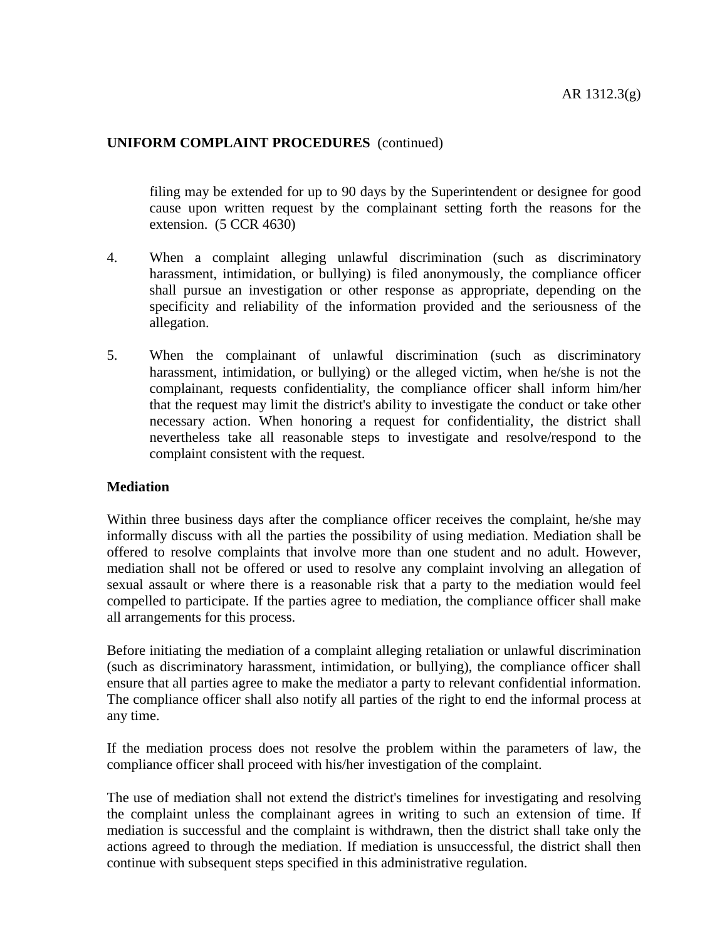filing may be extended for up to 90 days by the Superintendent or designee for good cause upon written request by the complainant setting forth the reasons for the extension. (5 CCR 4630)

- 4. When a complaint alleging unlawful discrimination (such as discriminatory harassment, intimidation, or bullying) is filed anonymously, the compliance officer shall pursue an investigation or other response as appropriate, depending on the specificity and reliability of the information provided and the seriousness of the allegation.
- 5. When the complainant of unlawful discrimination (such as discriminatory harassment, intimidation, or bullying) or the alleged victim, when he/she is not the complainant, requests confidentiality, the compliance officer shall inform him/her that the request may limit the district's ability to investigate the conduct or take other necessary action. When honoring a request for confidentiality, the district shall nevertheless take all reasonable steps to investigate and resolve/respond to the complaint consistent with the request.

#### **Mediation**

Within three business days after the compliance officer receives the complaint, he/she may informally discuss with all the parties the possibility of using mediation. Mediation shall be offered to resolve complaints that involve more than one student and no adult. However, mediation shall not be offered or used to resolve any complaint involving an allegation of sexual assault or where there is a reasonable risk that a party to the mediation would feel compelled to participate. If the parties agree to mediation, the compliance officer shall make all arrangements for this process.

Before initiating the mediation of a complaint alleging retaliation or unlawful discrimination (such as discriminatory harassment, intimidation, or bullying), the compliance officer shall ensure that all parties agree to make the mediator a party to relevant confidential information. The compliance officer shall also notify all parties of the right to end the informal process at any time.

If the mediation process does not resolve the problem within the parameters of law, the compliance officer shall proceed with his/her investigation of the complaint.

The use of mediation shall not extend the district's timelines for investigating and resolving the complaint unless the complainant agrees in writing to such an extension of time. If mediation is successful and the complaint is withdrawn, then the district shall take only the actions agreed to through the mediation. If mediation is unsuccessful, the district shall then continue with subsequent steps specified in this administrative regulation.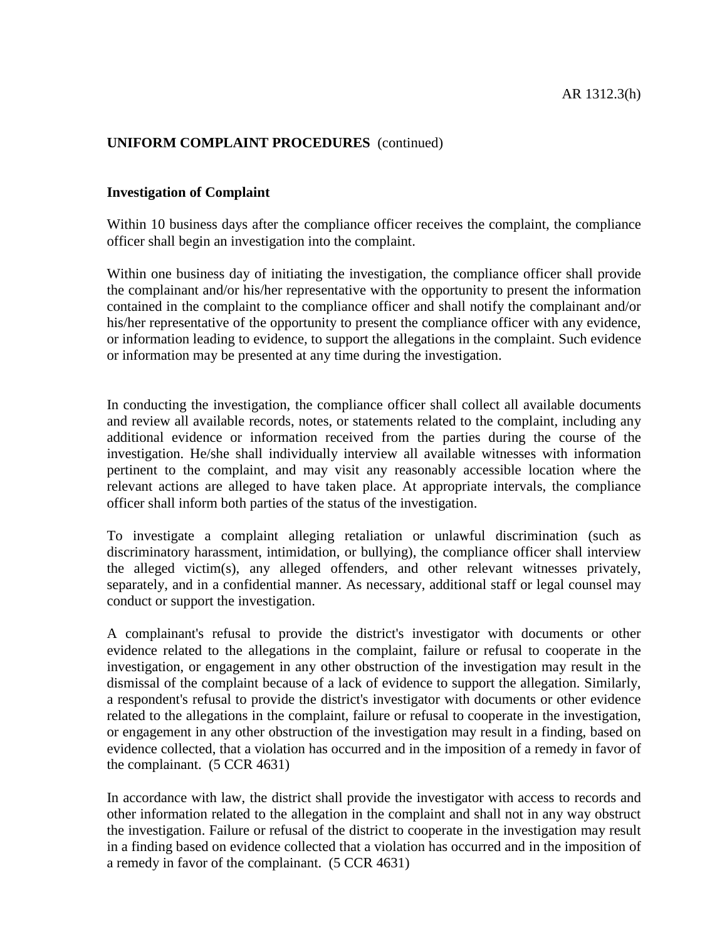#### **Investigation of Complaint**

Within 10 business days after the compliance officer receives the complaint, the compliance officer shall begin an investigation into the complaint.

Within one business day of initiating the investigation, the compliance officer shall provide the complainant and/or his/her representative with the opportunity to present the information contained in the complaint to the compliance officer and shall notify the complainant and/or his/her representative of the opportunity to present the compliance officer with any evidence, or information leading to evidence, to support the allegations in the complaint. Such evidence or information may be presented at any time during the investigation.

In conducting the investigation, the compliance officer shall collect all available documents and review all available records, notes, or statements related to the complaint, including any additional evidence or information received from the parties during the course of the investigation. He/she shall individually interview all available witnesses with information pertinent to the complaint, and may visit any reasonably accessible location where the relevant actions are alleged to have taken place. At appropriate intervals, the compliance officer shall inform both parties of the status of the investigation.

To investigate a complaint alleging retaliation or unlawful discrimination (such as discriminatory harassment, intimidation, or bullying), the compliance officer shall interview the alleged victim(s), any alleged offenders, and other relevant witnesses privately, separately, and in a confidential manner. As necessary, additional staff or legal counsel may conduct or support the investigation.

A complainant's refusal to provide the district's investigator with documents or other evidence related to the allegations in the complaint, failure or refusal to cooperate in the investigation, or engagement in any other obstruction of the investigation may result in the dismissal of the complaint because of a lack of evidence to support the allegation. Similarly, a respondent's refusal to provide the district's investigator with documents or other evidence related to the allegations in the complaint, failure or refusal to cooperate in the investigation, or engagement in any other obstruction of the investigation may result in a finding, based on evidence collected, that a violation has occurred and in the imposition of a remedy in favor of the complainant. (5 CCR 4631)

In accordance with law, the district shall provide the investigator with access to records and other information related to the allegation in the complaint and shall not in any way obstruct the investigation. Failure or refusal of the district to cooperate in the investigation may result in a finding based on evidence collected that a violation has occurred and in the imposition of a remedy in favor of the complainant. (5 CCR 4631)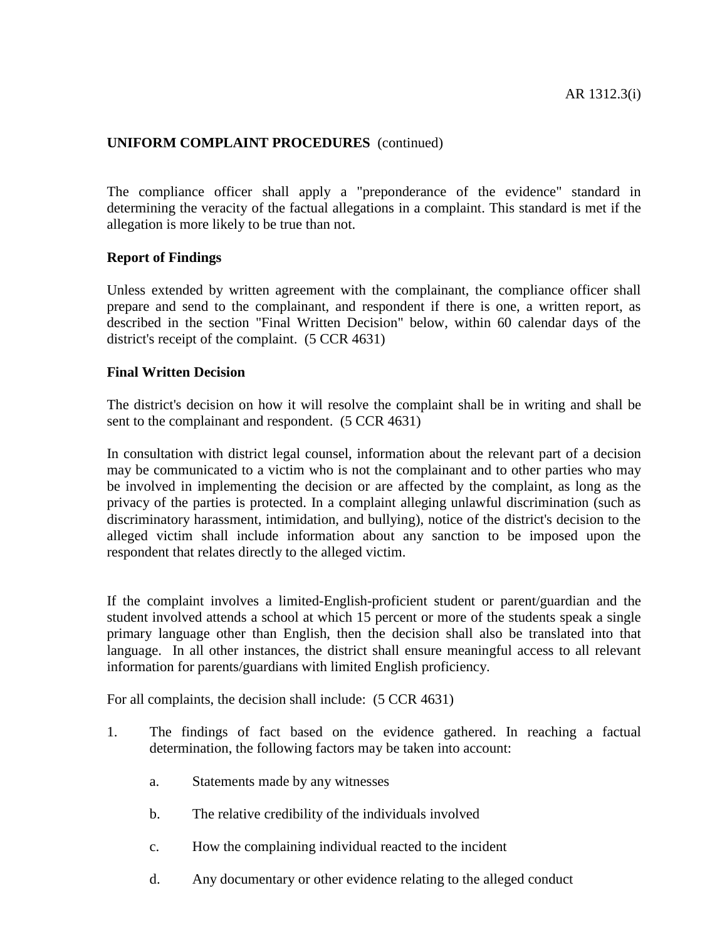The compliance officer shall apply a "preponderance of the evidence" standard in determining the veracity of the factual allegations in a complaint. This standard is met if the allegation is more likely to be true than not.

#### **Report of Findings**

Unless extended by written agreement with the complainant, the compliance officer shall prepare and send to the complainant, and respondent if there is one, a written report, as described in the section "Final Written Decision" below, within 60 calendar days of the district's receipt of the complaint. (5 CCR 4631)

#### **Final Written Decision**

The district's decision on how it will resolve the complaint shall be in writing and shall be sent to the complainant and respondent. (5 CCR 4631)

In consultation with district legal counsel, information about the relevant part of a decision may be communicated to a victim who is not the complainant and to other parties who may be involved in implementing the decision or are affected by the complaint, as long as the privacy of the parties is protected. In a complaint alleging unlawful discrimination (such as discriminatory harassment, intimidation, and bullying), notice of the district's decision to the alleged victim shall include information about any sanction to be imposed upon the respondent that relates directly to the alleged victim.

If the complaint involves a limited-English-proficient student or parent/guardian and the student involved attends a school at which 15 percent or more of the students speak a single primary language other than English, then the decision shall also be translated into that language. In all other instances, the district shall ensure meaningful access to all relevant information for parents/guardians with limited English proficiency.

For all complaints, the decision shall include: (5 CCR 4631)

- 1. The findings of fact based on the evidence gathered. In reaching a factual determination, the following factors may be taken into account:
	- a. Statements made by any witnesses
	- b. The relative credibility of the individuals involved
	- c. How the complaining individual reacted to the incident
	- d. Any documentary or other evidence relating to the alleged conduct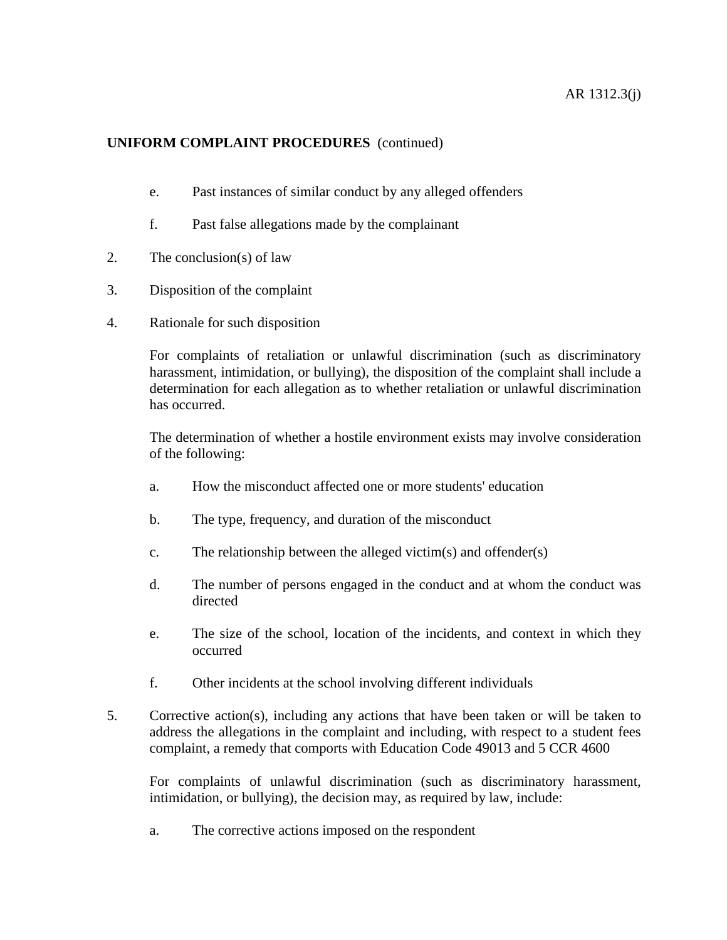- e. Past instances of similar conduct by any alleged offenders
- f. Past false allegations made by the complainant
- 2. The conclusion(s) of law
- 3. Disposition of the complaint
- 4. Rationale for such disposition

For complaints of retaliation or unlawful discrimination (such as discriminatory harassment, intimidation, or bullying), the disposition of the complaint shall include a determination for each allegation as to whether retaliation or unlawful discrimination has occurred.

The determination of whether a hostile environment exists may involve consideration of the following:

- a. How the misconduct affected one or more students' education
- b. The type, frequency, and duration of the misconduct
- c. The relationship between the alleged victim(s) and offender(s)
- d. The number of persons engaged in the conduct and at whom the conduct was directed
- e. The size of the school, location of the incidents, and context in which they occurred
- f. Other incidents at the school involving different individuals
- 5. Corrective action(s), including any actions that have been taken or will be taken to address the allegations in the complaint and including, with respect to a student fees complaint, a remedy that comports with Education Code 49013 and 5 CCR 4600

For complaints of unlawful discrimination (such as discriminatory harassment, intimidation, or bullying), the decision may, as required by law, include:

a. The corrective actions imposed on the respondent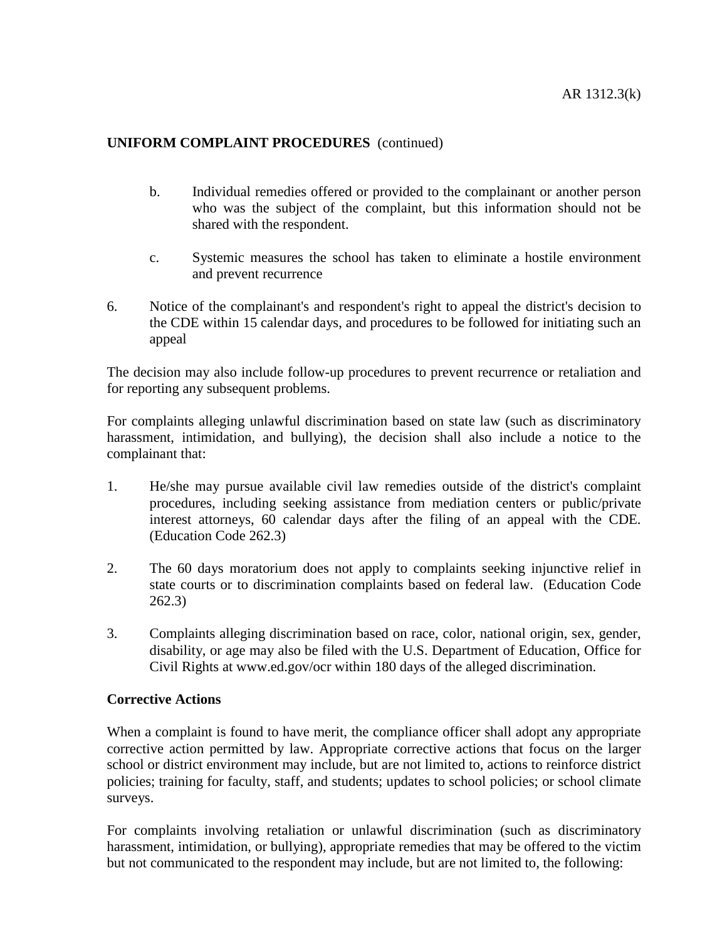- b. Individual remedies offered or provided to the complainant or another person who was the subject of the complaint, but this information should not be shared with the respondent.
- c. Systemic measures the school has taken to eliminate a hostile environment and prevent recurrence
- 6. Notice of the complainant's and respondent's right to appeal the district's decision to the CDE within 15 calendar days, and procedures to be followed for initiating such an appeal

The decision may also include follow-up procedures to prevent recurrence or retaliation and for reporting any subsequent problems.

For complaints alleging unlawful discrimination based on state law (such as discriminatory harassment, intimidation, and bullying), the decision shall also include a notice to the complainant that:

- 1. He/she may pursue available civil law remedies outside of the district's complaint procedures, including seeking assistance from mediation centers or public/private interest attorneys, 60 calendar days after the filing of an appeal with the CDE. (Education Code 262.3)
- 2. The 60 days moratorium does not apply to complaints seeking injunctive relief in state courts or to discrimination complaints based on federal law. (Education Code 262.3)
- 3. Complaints alleging discrimination based on race, color, national origin, sex, gender, disability, or age may also be filed with the U.S. Department of Education, Office for Civil Rights at www.ed.gov/ocr within 180 days of the alleged discrimination.

#### **Corrective Actions**

When a complaint is found to have merit, the compliance officer shall adopt any appropriate corrective action permitted by law. Appropriate corrective actions that focus on the larger school or district environment may include, but are not limited to, actions to reinforce district policies; training for faculty, staff, and students; updates to school policies; or school climate surveys.

For complaints involving retaliation or unlawful discrimination (such as discriminatory harassment, intimidation, or bullying), appropriate remedies that may be offered to the victim but not communicated to the respondent may include, but are not limited to, the following: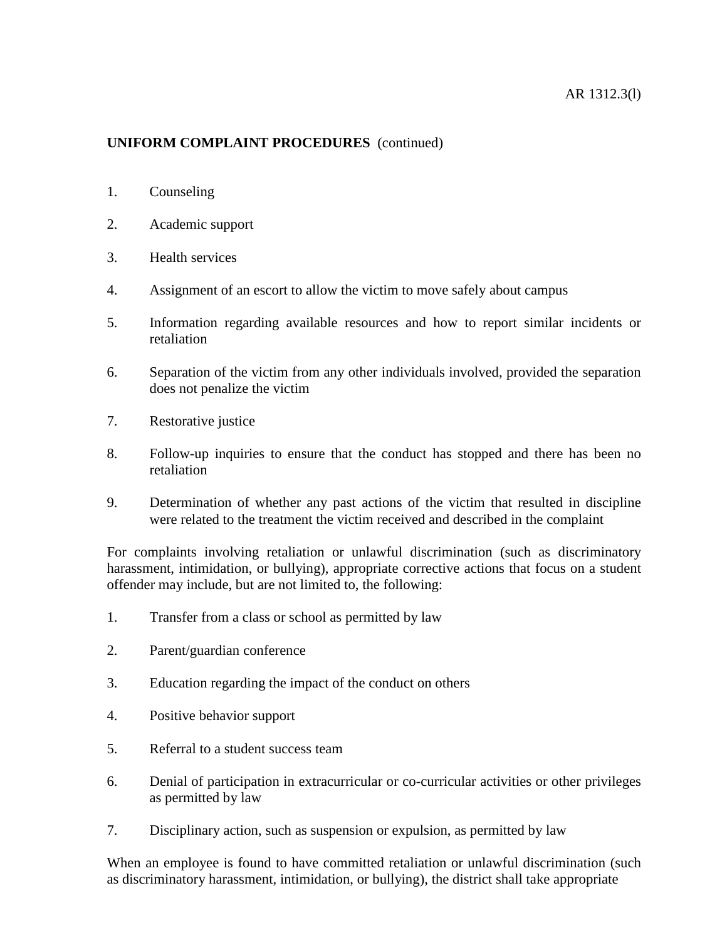- 1. Counseling
- 2. Academic support
- 3. Health services
- 4. Assignment of an escort to allow the victim to move safely about campus
- 5. Information regarding available resources and how to report similar incidents or retaliation
- 6. Separation of the victim from any other individuals involved, provided the separation does not penalize the victim
- 7. Restorative justice
- 8. Follow-up inquiries to ensure that the conduct has stopped and there has been no retaliation
- 9. Determination of whether any past actions of the victim that resulted in discipline were related to the treatment the victim received and described in the complaint

For complaints involving retaliation or unlawful discrimination (such as discriminatory harassment, intimidation, or bullying), appropriate corrective actions that focus on a student offender may include, but are not limited to, the following:

- 1. Transfer from a class or school as permitted by law
- 2. Parent/guardian conference
- 3. Education regarding the impact of the conduct on others
- 4. Positive behavior support
- 5. Referral to a student success team
- 6. Denial of participation in extracurricular or co-curricular activities or other privileges as permitted by law
- 7. Disciplinary action, such as suspension or expulsion, as permitted by law

When an employee is found to have committed retaliation or unlawful discrimination (such as discriminatory harassment, intimidation, or bullying), the district shall take appropriate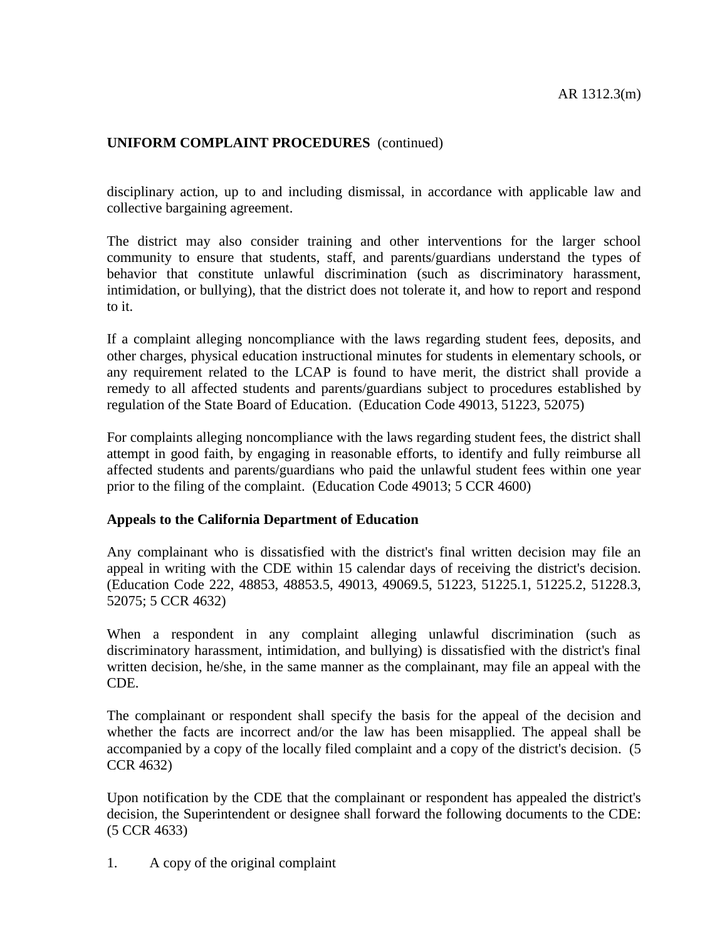disciplinary action, up to and including dismissal, in accordance with applicable law and collective bargaining agreement.

The district may also consider training and other interventions for the larger school community to ensure that students, staff, and parents/guardians understand the types of behavior that constitute unlawful discrimination (such as discriminatory harassment, intimidation, or bullying), that the district does not tolerate it, and how to report and respond to it.

If a complaint alleging noncompliance with the laws regarding student fees, deposits, and other charges, physical education instructional minutes for students in elementary schools, or any requirement related to the LCAP is found to have merit, the district shall provide a remedy to all affected students and parents/guardians subject to procedures established by regulation of the State Board of Education. (Education Code 49013, 51223, 52075)

For complaints alleging noncompliance with the laws regarding student fees, the district shall attempt in good faith, by engaging in reasonable efforts, to identify and fully reimburse all affected students and parents/guardians who paid the unlawful student fees within one year prior to the filing of the complaint. (Education Code 49013; 5 CCR 4600)

#### **Appeals to the California Department of Education**

Any complainant who is dissatisfied with the district's final written decision may file an appeal in writing with the CDE within 15 calendar days of receiving the district's decision. (Education Code 222, 48853, 48853.5, 49013, 49069.5, 51223, 51225.1, 51225.2, 51228.3, 52075; 5 CCR 4632)

When a respondent in any complaint alleging unlawful discrimination (such as discriminatory harassment, intimidation, and bullying) is dissatisfied with the district's final written decision, he/she, in the same manner as the complainant, may file an appeal with the CDE.

The complainant or respondent shall specify the basis for the appeal of the decision and whether the facts are incorrect and/or the law has been misapplied. The appeal shall be accompanied by a copy of the locally filed complaint and a copy of the district's decision. (5 CCR 4632)

Upon notification by the CDE that the complainant or respondent has appealed the district's decision, the Superintendent or designee shall forward the following documents to the CDE: (5 CCR 4633)

1. A copy of the original complaint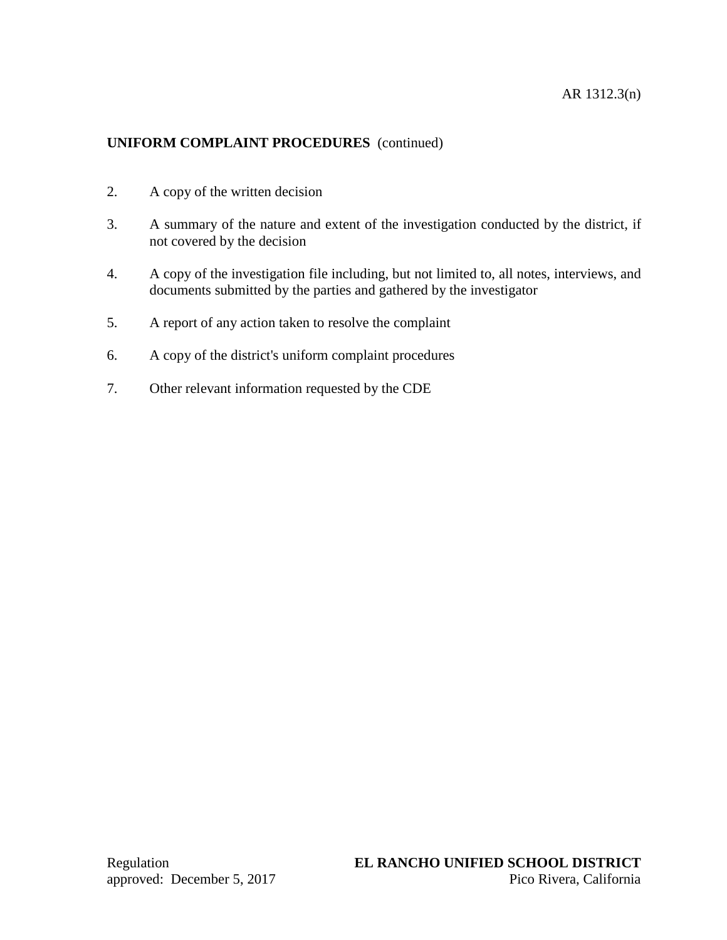- 2. A copy of the written decision
- 3. A summary of the nature and extent of the investigation conducted by the district, if not covered by the decision
- 4. A copy of the investigation file including, but not limited to, all notes, interviews, and documents submitted by the parties and gathered by the investigator
- 5. A report of any action taken to resolve the complaint
- 6. A copy of the district's uniform complaint procedures
- 7. Other relevant information requested by the CDE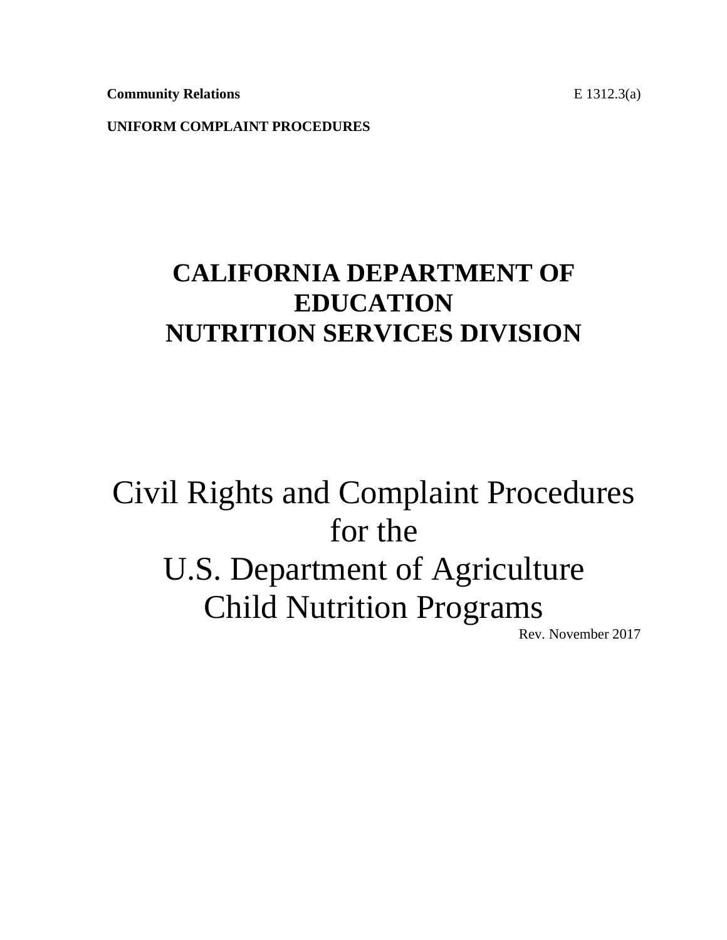**Community Relations** E 1312.3(a)

**UNIFORM COMPLAINT PROCEDURES**

# **CALIFORNIA DEPARTMENT OF EDUCATION NUTRITION SERVICES DIVISION**

# Civil Rights and Complaint Procedures for the U.S. Department of Agriculture Child Nutrition Programs

Rev. November 2017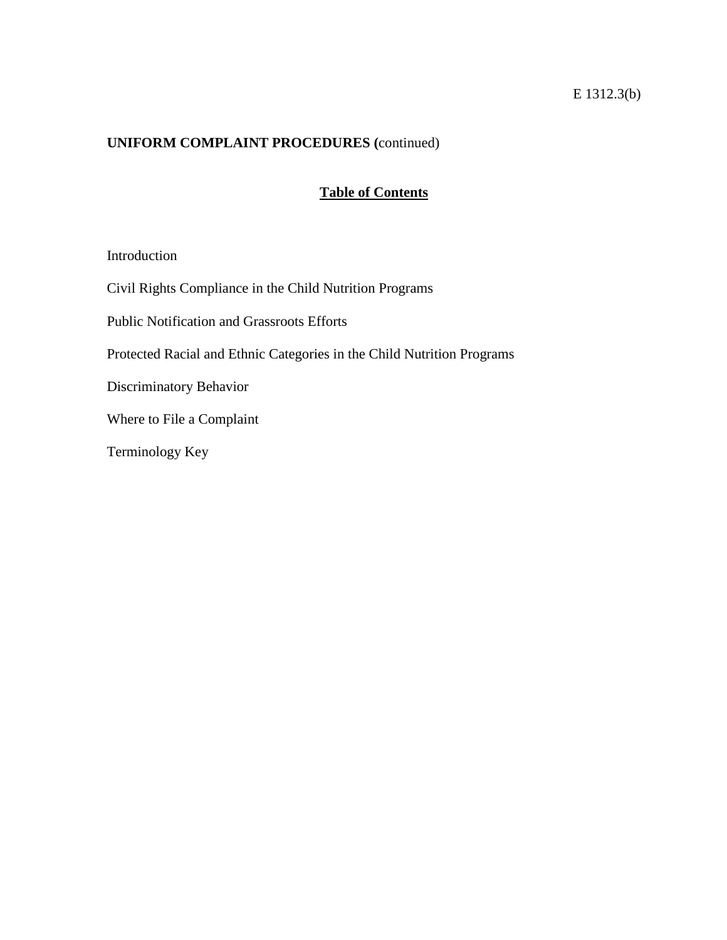# E 1312.3(b)

# **UNIFORM COMPLAINT PROCEDURES (**continued)

# **Table of Contents**

#### Introduction

Civil Rights Compliance in the Child Nutrition Programs

Public Notification and Grassroots Efforts

Protected Racial and Ethnic Categories in the Child Nutrition Programs

Discriminatory Behavior

Where to File a Complaint

Terminology Key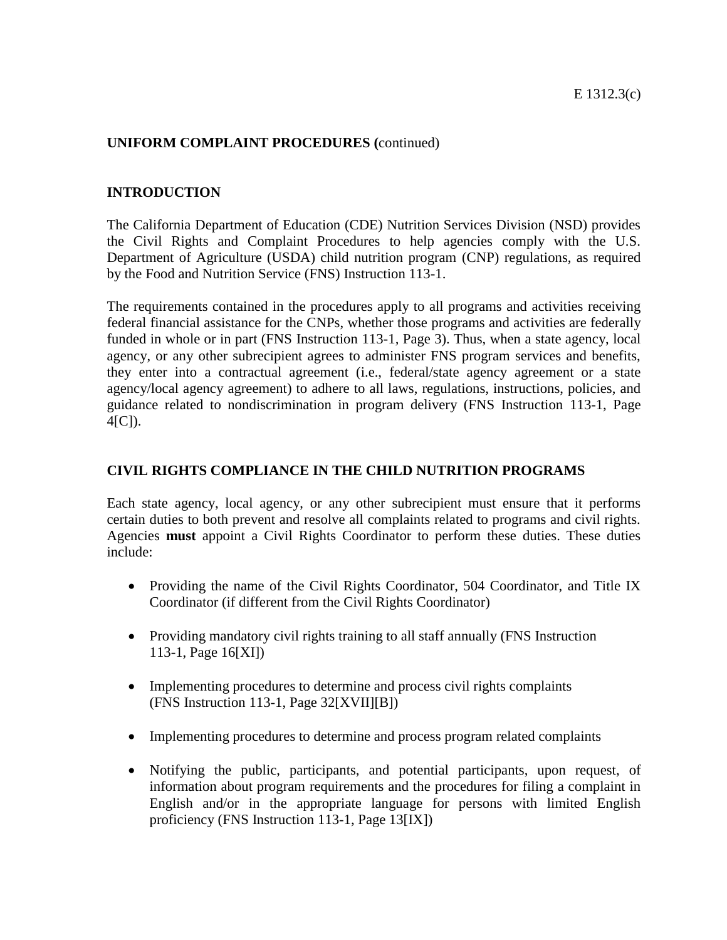#### **INTRODUCTION**

The California Department of Education (CDE) Nutrition Services Division (NSD) provides the Civil Rights and Complaint Procedures to help agencies comply with the U.S. Department of Agriculture (USDA) child nutrition program (CNP) regulations, as required by the Food and Nutrition Service (FNS) Instruction 113-1.

The requirements contained in the procedures apply to all programs and activities receiving federal financial assistance for the CNPs, whether those programs and activities are federally funded in whole or in part (FNS Instruction 113-1*,* Page 3). Thus, when a state agency, local agency, or any other subrecipient agrees to administer FNS program services and benefits, they enter into a contractual agreement (i.e., federal/state agency agreement or a state agency/local agency agreement) to adhere to all laws, regulations, instructions, policies, and guidance related to nondiscrimination in program delivery (FNS Instruction 113-1, Page 4[C]).

#### **CIVIL RIGHTS COMPLIANCE IN THE CHILD NUTRITION PROGRAMS**

Each state agency, local agency, or any other subrecipient must ensure that it performs certain duties to both prevent and resolve all complaints related to programs and civil rights. Agencies **must** appoint a Civil Rights Coordinator to perform these duties. These duties include:

- Providing the name of the Civil Rights Coordinator, 504 Coordinator, and Title IX Coordinator (if different from the Civil Rights Coordinator)
- Providing mandatory civil rights training to all staff annually (FNS Instruction 113-1, Page 16[XI])
- Implementing procedures to determine and process civil rights complaints (FNS Instruction 113-1, Page 32[XVII][B])
- Implementing procedures to determine and process program related complaints
- Notifying the public, participants, and potential participants, upon request, of information about program requirements and the procedures for filing a complaint in English and/or in the appropriate language for persons with limited English proficiency (FNS Instruction 113-1, Page 13[IX])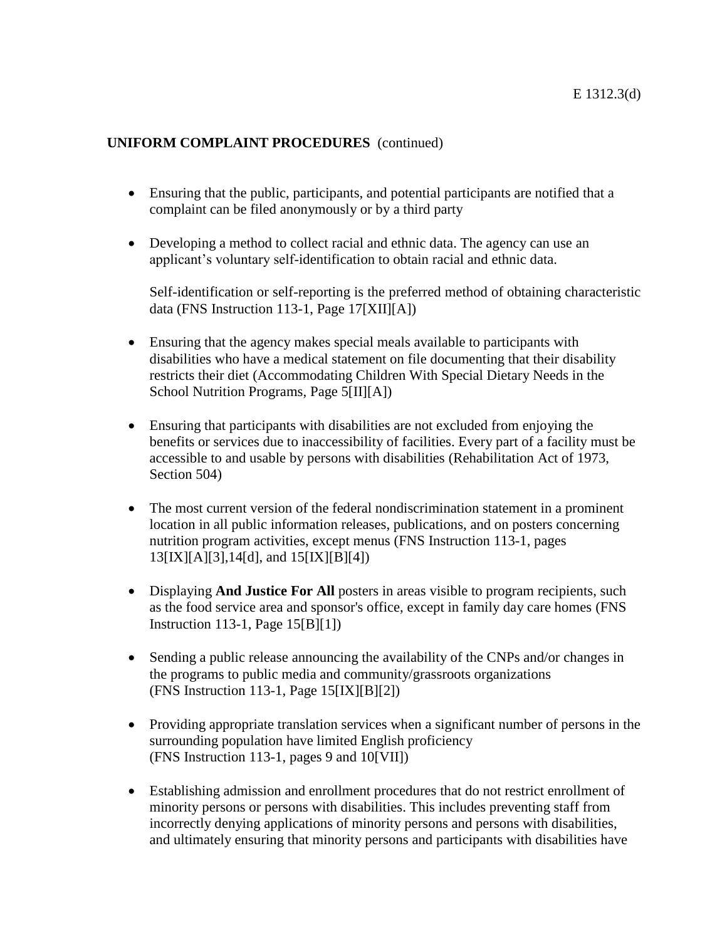- Ensuring that the public, participants, and potential participants are notified that a complaint can be filed anonymously or by a third party
- Developing a method to collect racial and ethnic data. The agency can use an applicant's voluntary self-identification to obtain racial and ethnic data.

Self-identification or self-reporting is the preferred method of obtaining characteristic data (FNS Instruction 113-1, Page 17[XII][A])

- Ensuring that the agency makes special meals available to participants with disabilities who have a medical statement on file documenting that their disability restricts their diet (Accommodating Children With Special Dietary Needs in the School Nutrition Programs, Page 5[II][A])
- Ensuring that participants with disabilities are not excluded from enjoying the benefits or services due to inaccessibility of facilities. Every part of a facility must be accessible to and usable by persons with disabilities (Rehabilitation Act of 1973, Section 504)
- The most current version of the federal nondiscrimination statement in a prominent location in all public information releases, publications, and on posters concerning nutrition program activities, except menus (FNS Instruction 113-1, pages 13[IX][A][3],14[d], and 15[IX][B][4])
- Displaying **And Justice For All** posters in areas visible to program recipients, such as the food service area and sponsor's office, except in family day care homes (FNS Instruction 113-1, Page 15[B][1])
- Sending a public release announcing the availability of the CNPs and/or changes in the programs to public media and community/grassroots organizations (FNS Instruction 113-1, Page 15[IX][B][2])
- Providing appropriate translation services when a significant number of persons in the surrounding population have limited English proficiency (FNS Instruction 113-1, pages 9 and 10[VII])
- Establishing admission and enrollment procedures that do not restrict enrollment of minority persons or persons with disabilities. This includes preventing staff from incorrectly denying applications of minority persons and persons with disabilities, and ultimately ensuring that minority persons and participants with disabilities have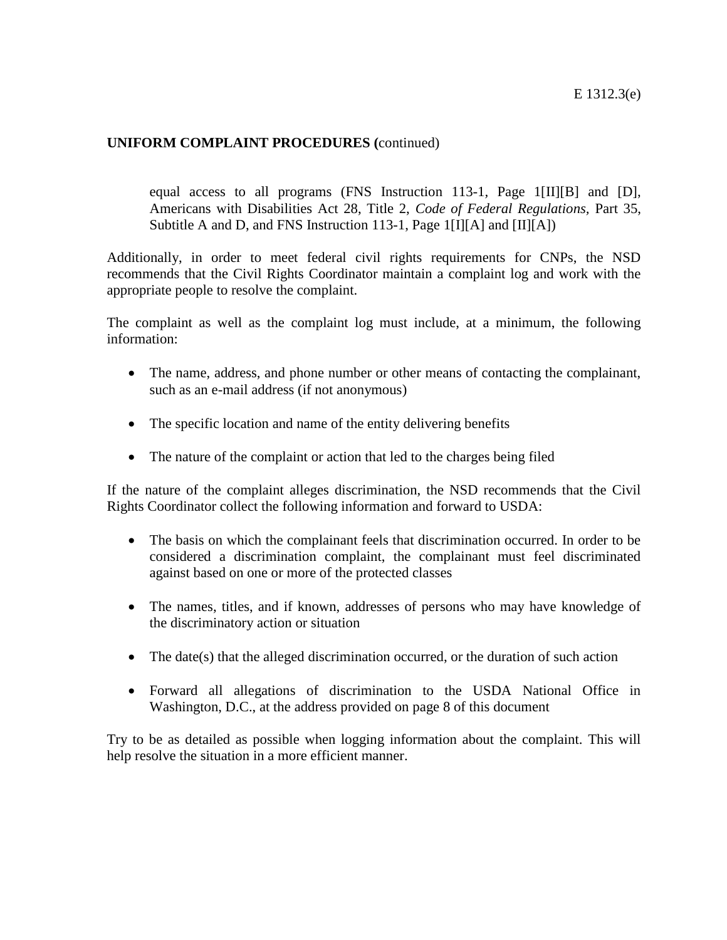equal access to all programs (FNS Instruction 113-1*,* Page 1[II][B] and [D], Americans with Disabilities Act 28, Title 2, *Code of Federal Regulations,* Part 35, Subtitle A and D, and FNS Instruction 113-1, Page 1[I][A] and [II][A])

Additionally, in order to meet federal civil rights requirements for CNPs, the NSD recommends that the Civil Rights Coordinator maintain a complaint log and work with the appropriate people to resolve the complaint.

The complaint as well as the complaint log must include, at a minimum, the following information:

- The name, address, and phone number or other means of contacting the complainant, such as an e-mail address (if not anonymous)
- The specific location and name of the entity delivering benefits
- The nature of the complaint or action that led to the charges being filed

If the nature of the complaint alleges discrimination, the NSD recommends that the Civil Rights Coordinator collect the following information and forward to USDA:

- The basis on which the complainant feels that discrimination occurred. In order to be considered a discrimination complaint, the complainant must feel discriminated against based on one or more of the protected classes
- The names, titles, and if known, addresses of persons who may have knowledge of the discriminatory action or situation
- The date(s) that the alleged discrimination occurred, or the duration of such action
- Forward all allegations of discrimination to the USDA National Office in Washington, D.C., at the address provided on page 8 of this document

Try to be as detailed as possible when logging information about the complaint. This will help resolve the situation in a more efficient manner.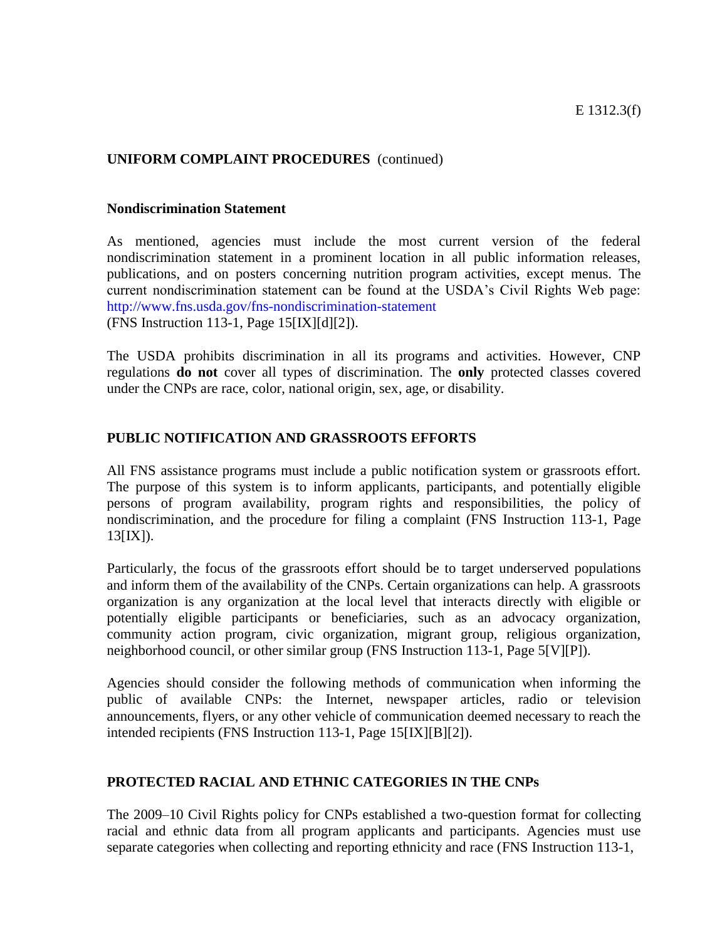#### **Nondiscrimination Statement**

As mentioned, agencies must include the most current version of the federal nondiscrimination statement in a prominent location in all public information releases, publications, and on posters concerning nutrition program activities, except menus. The current nondiscrimination statement can be found at the USDA's Civil Rights Web page: <http://www.fns.usda.gov/fns-nondiscrimination-statement> (FNS Instruction 113-1, Page 15[IX][d][2]).

The USDA prohibits discrimination in all its programs and activities. However, CNP regulations **do not** cover all types of discrimination. The **only** protected classes covered under the CNPs are race, color, national origin, sex, age, or disability.

#### **PUBLIC NOTIFICATION AND GRASSROOTS EFFORTS**

All FNS assistance programs must include a public notification system or grassroots effort. The purpose of this system is to inform applicants, participants, and potentially eligible persons of program availability, program rights and responsibilities, the policy of nondiscrimination, and the procedure for filing a complaint (FNS Instruction 113-1, Page 13[IX]).

Particularly, the focus of the grassroots effort should be to target underserved populations and inform them of the availability of the CNPs. Certain organizations can help. A grassroots organization is any organization at the local level that interacts directly with eligible or potentially eligible participants or beneficiaries, such as an advocacy organization, community action program, civic organization, migrant group, religious organization, neighborhood council, or other similar group (FNS Instruction 113-1, Page 5[V][P]).

Agencies should consider the following methods of communication when informing the public of available CNPs: the Internet, newspaper articles, radio or television announcements, flyers, or any other vehicle of communication deemed necessary to reach the intended recipients (FNS Instruction 113-1, Page 15[IX][B][2]).

#### **PROTECTED RACIAL AND ETHNIC CATEGORIES IN THE CNPs**

The 2009–10 Civil Rights policy for CNPs established a two-question format for collecting racial and ethnic data from all program applicants and participants. Agencies must use separate categories when collecting and reporting ethnicity and race (FNS Instruction 113-1,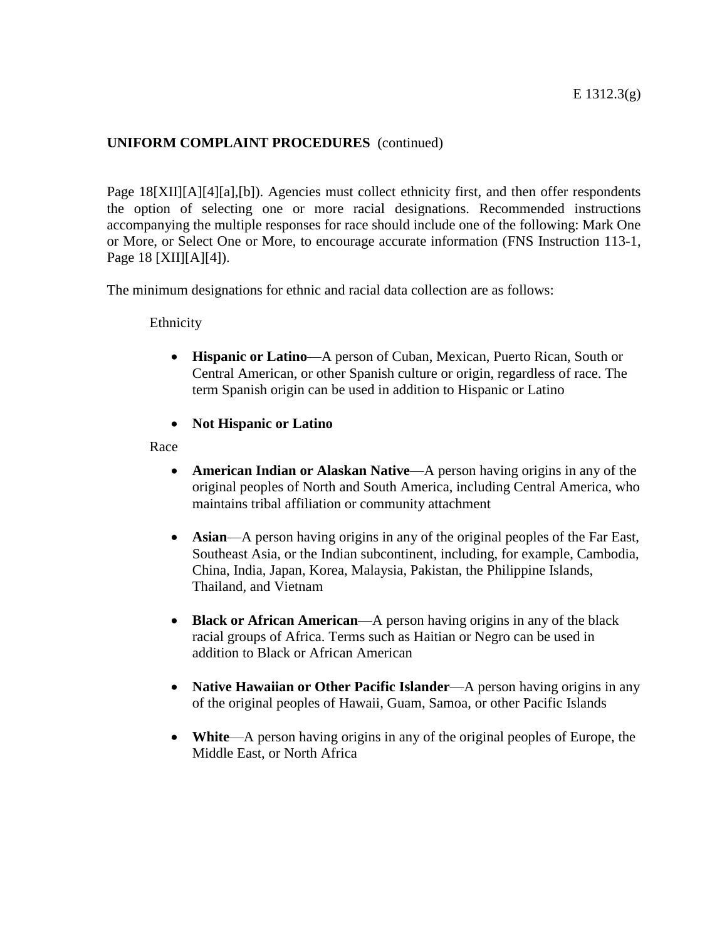Page 18[XII][A][4][a],[b]). Agencies must collect ethnicity first, and then offer respondents the option of selecting one or more racial designations. Recommended instructions accompanying the multiple responses for race should include one of the following: Mark One or More, or Select One or More, to encourage accurate information (FNS Instruction 113-1, Page 18 [XII][A][4]).

The minimum designations for ethnic and racial data collection are as follows:

Ethnicity

- **Hispanic or Latino**—A person of Cuban, Mexican, Puerto Rican, South or Central American, or other Spanish culture or origin, regardless of race. The term Spanish origin can be used in addition to Hispanic or Latino
- **Not Hispanic or Latino**

Race

- **American Indian or Alaskan Native**—A person having origins in any of the original peoples of North and South America, including Central America, who maintains tribal affiliation or community attachment
- **Asian**—A person having origins in any of the original peoples of the Far East, Southeast Asia, or the Indian subcontinent, including, for example, Cambodia, China, India, Japan, Korea, Malaysia, Pakistan, the Philippine Islands, Thailand, and Vietnam
- **Black or African American**—A person having origins in any of the black racial groups of Africa. Terms such as Haitian or Negro can be used in addition to Black or African American
- **Native Hawaiian or Other Pacific Islander—A** person having origins in any of the original peoples of Hawaii, Guam, Samoa, or other Pacific Islands
- **White**—A person having origins in any of the original peoples of Europe, the Middle East, or North Africa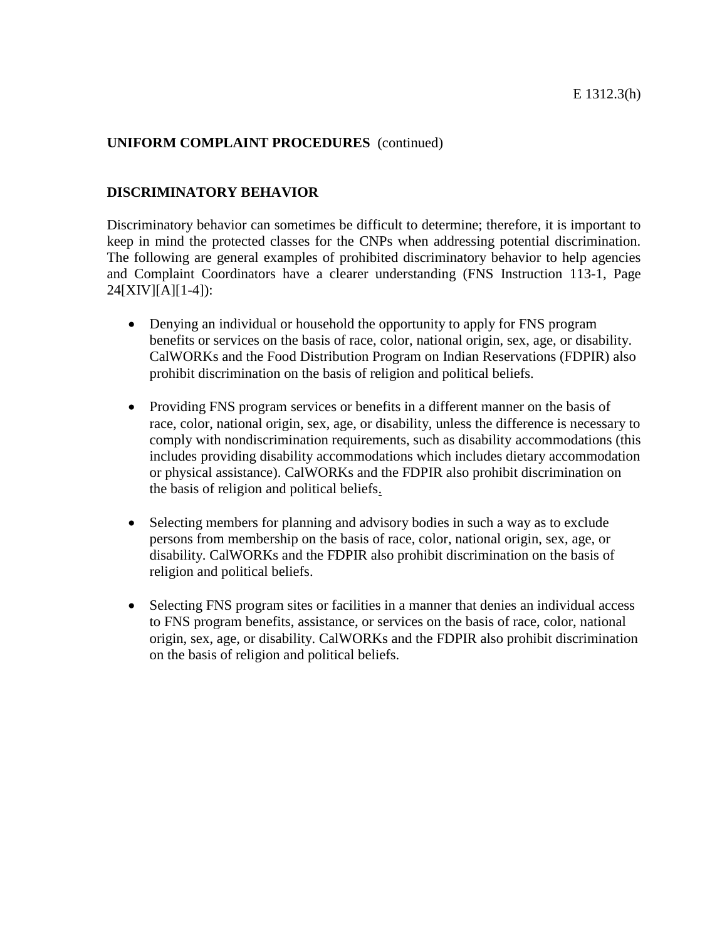#### **DISCRIMINATORY BEHAVIOR**

Discriminatory behavior can sometimes be difficult to determine; therefore, it is important to keep in mind the protected classes for the CNPs when addressing potential discrimination. The following are general examples of prohibited discriminatory behavior to help agencies and Complaint Coordinators have a clearer understanding (FNS Instruction 113-1, Page  $24[XIV][A][1-4]$ :

- Denying an individual or household the opportunity to apply for FNS program benefits or services on the basis of race, color, national origin, sex, age, or disability. CalWORKs and the Food Distribution Program on Indian Reservations (FDPIR) also prohibit discrimination on the basis of religion and political beliefs.
- Providing FNS program services or benefits in a different manner on the basis of race, color, national origin, sex, age, or disability, unless the difference is necessary to comply with nondiscrimination requirements, such as disability accommodations (this includes providing disability accommodations which includes dietary accommodation or physical assistance). CalWORKs and the FDPIR also prohibit discrimination on the basis of religion and political beliefs.
- Selecting members for planning and advisory bodies in such a way as to exclude persons from membership on the basis of race, color, national origin, sex, age, or disability. CalWORKs and the FDPIR also prohibit discrimination on the basis of religion and political beliefs.
- Selecting FNS program sites or facilities in a manner that denies an individual access to FNS program benefits, assistance, or services on the basis of race, color, national origin, sex, age, or disability. CalWORKs and the FDPIR also prohibit discrimination on the basis of religion and political beliefs.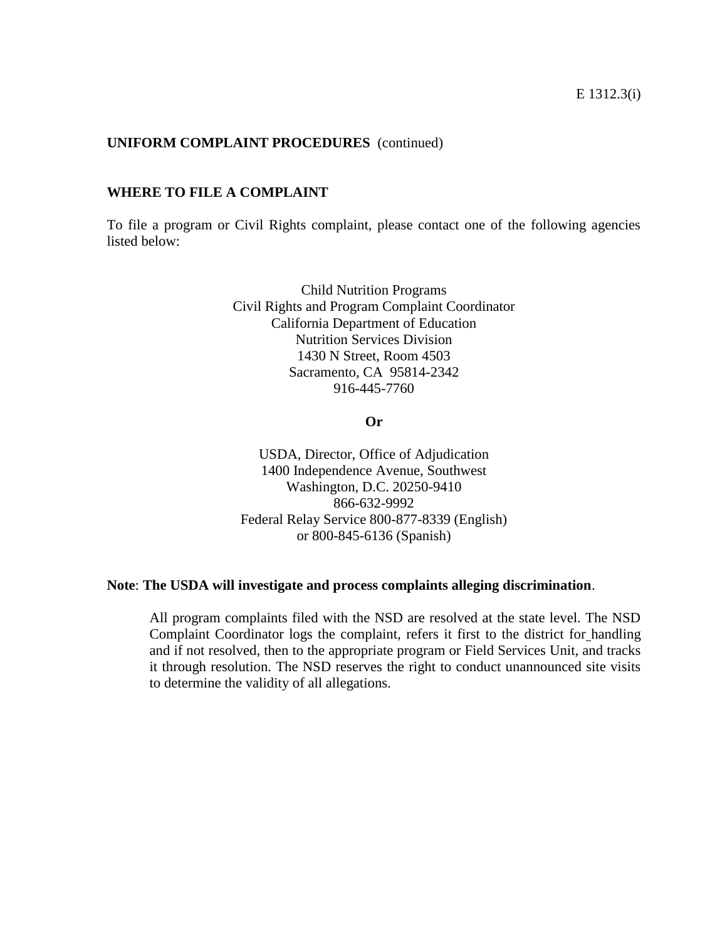#### **WHERE TO FILE A COMPLAINT**

To file a program or Civil Rights complaint, please contact one of the following agencies listed below:

> Child Nutrition Programs Civil Rights and Program Complaint Coordinator California Department of Education Nutrition Services Division 1430 N Street, Room 4503 Sacramento, CA 95814-2342 916-445-7760

> > **Or**

USDA, Director, Office of Adjudication 1400 Independence Avenue, Southwest Washington, D.C. 20250-9410 866-632-9992 Federal Relay Service 800-877-8339 (English) or 800-845-6136 (Spanish)

#### **Note**: **The USDA will investigate and process complaints alleging discrimination**.

All program complaints filed with the NSD are resolved at the state level. The NSD Complaint Coordinator logs the complaint, refers it first to the district for handling and if not resolved, then to the appropriate program or Field Services Unit, and tracks it through resolution. The NSD reserves the right to conduct unannounced site visits to determine the validity of all allegations.